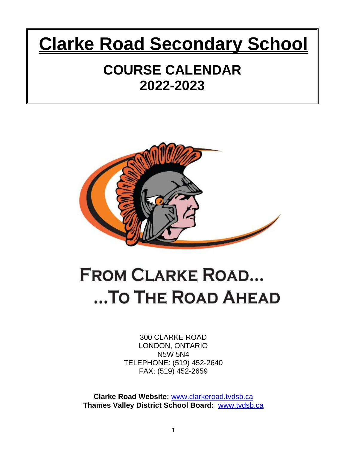# **Clarke Road Secondary School**

# **COURSE CALENDAR 2022-2023**



# **FROM CLARKE ROAD...** ...TO THE ROAD AHEAD

300 CLARKE ROAD LONDON, ONTARIO N5W 5N4 TELEPHONE: (519) 452-2640 FAX: (519) 452-2659

**Clarke Road Website:** [www.clarkeroad.tvdsb.ca](http://www.clarkeroad.tvdsb.ca/) **Thames Valley District School Board:** [www.tvdsb.ca](http://www.tvdsb.ca/)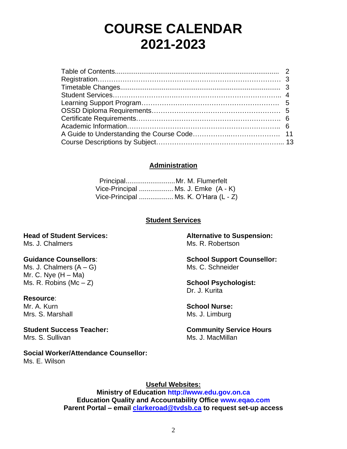# **COURSE CALENDAR 2021-2023**

# **Administration**

 Principal..........................Mr. M. Flumerfelt Vice-Principal .................. Ms. J. Emke (A - K) Vice-Principal .................. Ms. K. O'Hara (L - Z)

# **Student Services**

**Head of Student Services:** Ms. J. Chalmers

# **Guidance Counsellors**:

Ms. J. Chalmers  $(A - G)$ Mr. C. Nye  $(H - Ma)$ Ms. R. Robins ( $Mc - Z$ )

**Resource**: Mr. A. Kurn Mrs. S. Marshall

**Student Success Teacher:** Mrs. S. Sullivan

# **Social Worker/Attendance Counsellor:**

Ms. E. Wilson

**Alternative to Suspension:** Ms. R. Robertson

**School Support Counsellor:** Ms. C. Schneider

**School Psychologist:** Dr. J. Kurita

**School Nurse:** Ms. J. Limburg

**Community Service Hours** Ms. J. MacMillan

**Useful Websites:**

**Ministry of Education [http://www.edu.gov.on.ca](http://www.edu.gov.on.ca/) Education Quality and Accountability Office [www.eqao.com](http://www.eqao.com/) Parent Portal – email [clarkeroad@tvdsb.ca](mailto:clarkeroad@tvdsb.ca) to request set-up access**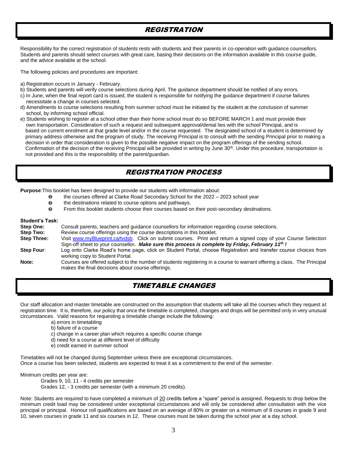# REGISTRATION

Responsibility for the correct registration of students rests with students and their parents in co-operation with guidance counsellors. Students and parents should select courses with great care, basing their decisions on the information available in this course guide, and the advice available at the school.

The following policies and procedures are important:

- a) Registration occurs in January February.
- b) Students and parents will verify course selections during April. The guidance department should be notified of any errors.
- c) In June, when the final report card is issued, the student is responsible for notifying the guidance department if course failures necessitate a change in courses selected.
- d) Amendments to course selections resulting from summer school must be initiated by the student at the conclusion of summer school, by informing school official.
- e) Students wishing to register at a school other than their home school must do so BEFORE MARCH 1 and must provide their own transportation. Consideration of such a request and subsequent approval/denial lies with the school Principal, and is based on current enrolment at that grade level and/or in the course requested. The designated school of a student is determined by primary address otherwise and the program of study. The receiving Principal is to consult with the sending Principal prior to making a decision in order that consideration is given to the possible negative impact on the program offerings of the sending school. Confirmation of the decision of the receiving Principal will be provided in writing by June 30<sup>th</sup>. Under this procedure, transportation is not provided and this is the responsibility of the parent/guardian.

# REGISTRATION PROCESS

**Purpose**:This booklet has been designed to provide our students with information about:

- the courses offered at Clarke Road Secondary School for the 2022 2023 school year
- the destinations related to course options and pathways.
- From this booklet students choose their courses based on their post-secondary destinations.

# **Student's Task:**

| <b>Step One:</b>   | Consult parents, teachers and quidance counsellors for information regarding course selections.                                                                               |  |  |  |  |
|--------------------|-------------------------------------------------------------------------------------------------------------------------------------------------------------------------------|--|--|--|--|
| Step Two:          | Review course offerings using the course descriptions in this booklet.                                                                                                        |  |  |  |  |
| <b>Step Three:</b> | Visit www.myBlueprint.ca/tydsb. Click on submit courses. Print and return a signed copy of your Course Selection                                                              |  |  |  |  |
|                    | Sign-off sheet to your counsellor. Make sure this process is complete by Friday, February 11th !                                                                              |  |  |  |  |
| Step Four:         | Log onto Clarke Road's home page, click on Student Portal, choose Registration and transfer course choices from<br>working copy to Student Portal.                            |  |  |  |  |
| Note:              | Courses are offered subject to the number of students registering in a course to warrant offering a class. The Principal<br>makes the final decisions about course offerings. |  |  |  |  |

# TIMETABLE CHANGES

Our staff allocation and master timetable are constructed on the assumption that students will take all the courses which they request at registration time. It is, therefore, our policy that once the timetable is completed, changes and drops will be permitted only in very unusual circumstances. Valid reasons for requesting a timetable change include the following:

- a) errors in timetabling
- b) failure of a course
- c) change in a career plan which requires a specific course change
- d) need for a course at different level of difficulty
- e) credit earned in summer school

Timetables will not be changed during September unless there are exceptional circumstances. Once a course has been selected, students are expected to treat it as a commitment to the end of the semester.

Minimum credits per year are:

Grades 9, 10, 11 - 4 credits per semester Grades 12, - 3 credits per semester (with a minimum 20 credits).

Note: Students are required to have completed a minimum of 20 credits before a "spare" period is assigned. Requests to drop below the minimum credit load may be considered under exceptional circumstances and will only be considered after consultation with the vice principal or principal. Honour roll qualifications are based on an average of 80% or greater on a minimum of 8 courses in grade 9 and 10, seven courses in grade 11 and six courses in 12. These courses must be taken during the school year at a day school.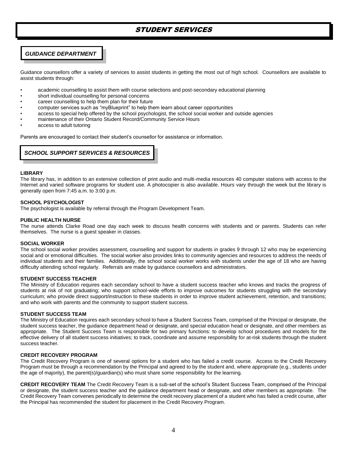# STUDENT SERVICES

# *GUIDANCE DEPARTMENT*

Guidance counsellors offer a variety of services to assist students in getting the most out of high school. Counsellors are available to assist students through:

- academic counselling to assist them with course selections and post-secondary educational planning
- short individual counselling for personal concerns
- career counselling to help them plan for their future
- computer services such as "myBlueprint" to help them learn about career opportunities
- access to special help offered by the school psychologist, the school social worker and outside agencies
- maintenance of their Ontario Student Record/Community Service Hours
- access to adult tutoring

Parents are encouraged to contact their student's counsellor for assistance or information.

# *SCHOOL SUPPORT SERVICES & RESOURCES*

#### **LIBRARY**

The library has, in addition to an extensive collection of print audio and multi-media resources 40 computer stations with access to the Internet and varied software programs for student use. A photocopier is also available. Hours vary through the week but the library is generally open from 7:45 a.m. to 3:00 p.m.

# **SCHOOL PSYCHOLOGIST**

The psychologist is available by referral through the Program Development Team.

#### **PUBLIC HEALTH NURSE**

The nurse attends Clarke Road one day each week to discuss health concerns with students and or parents. Students can refer themselves. The nurse is a guest speaker in classes.

#### **SOCIAL WORKER**

The school social worker provides assessment, counselling and support for students in grades 9 through 12 who may be experiencing social and or emotional difficulties. The social worker also provides links to community agencies and resources to address the needs of individual students and their families. Additionally, the school social worker works with students under the age of 18 who are having difficulty attending school regularly. Referrals are made by guidance counsellors and administrators.

#### **STUDENT SUCCESS TEACHER**

The Ministry of Education requires each secondary school to have a student success teacher who knows and tracks the progress of students at risk of not graduating; who support school-wide efforts to improve outcomes for students struggling with the secondary curriculum; who provide direct support/instruction to these students in order to improve student achievement, retention, and transitions; and who work with parents and the community to support student success.

#### **STUDENT SUCCESS TEAM**

The Ministry of Education requires each secondary school to have a Student Success Team, comprised of the Principal or designate, the student success teacher, the guidance department head or designate, and special education head or designate, and other members as appropriate. The Student Success Team is responsible for two primary functions: to develop school procedures and models for the effective delivery of all student success initiatives; to track, coordinate and assume responsibility for at-risk students through the student success teacher.

# **CREDIT RECOVERY PROGRAM**

The Credit Recovery Program is one of several options for a student who has failed a credit course. Access to the Credit Recovery Program must be through a recommendation by the Principal and agreed to by the student and, where appropriate (e.g., students under the age of majority), the parent(s)/guardian(s) who must share some responsibility for the learning.

**CREDIT RECOVERY TEAM** The Credit Recovery Team is a sub-set of the school's Student Success Team, comprised of the Principal or designate, the student success teacher and the guidance department head or designate, and other members as appropriate. The Credit Recovery Team convenes periodically to determine the credit recovery placement of a student who has failed a credit course, after the Principal has recommended the student for placement in the Credit Recovery Program.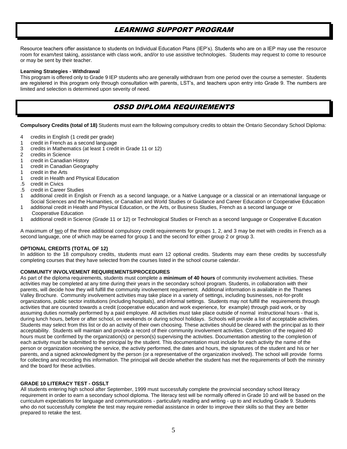# LEARNING SUPPORT PROGRAM

Resource teachers offer assistance to students on Individual Education Plans (IEP's). Students who are on a IEP may use the resource room for exam/test taking, assistance with class work, and/or to use assistive technologies. Students may request to come to resource or may be sent by their teacher.

# **Learning Strategies - Withdrawal**

This program is offered only to Grade 9 IEP students who are generally withdrawn from one period over the course a semester. Students are registered in this program only through consultation with parents, LST's, and teachers upon entry into Grade 9. The numbers are limited and selection is determined upon severity of need.

# OSSD DIPLOMA REQUIREMENTS

**Compulsory Credits (total of 18)** Students must earn the following compulsory credits to obtain the Ontario Secondary School Diploma:

- 4 credits in English (1 credit per grade)
- 1 credit in French as a second language
- 3 credits in Mathematics (at least 1 credit in Grade 11 or 12)
- 2 credits in Science
- 1 credit in Canadian History
- 1 credit in Canadian Geography
- 1 credit in the Arts
- 1 credit in Health and Physical Education
- .5 credit in Civics
- .5 credit in Career Studies
- 1 additional credit in English or French as a second language, or a Native Language or a classical or an international language or Social Sciences and the Humanities, or Canadian and World Studies or Guidance and Career Education or Cooperative Education
- 1 additional credit in Health and Physical Education, or the Arts, or Business Studies, French as a second language or Cooperative Education
- 1 additional credit in Science (Grade 11 or 12) or Technological Studies or French as a second language or Cooperative Education

A maximum of two of the three additional compulsory credit requirements for groups 1, 2, and 3 may be met with credits in French as a second language, one of which may be earned for group 1 and the second for either group 2 or group 3.

# **OPTIONAL CREDITS (TOTAL OF 12)**

In addition to the 18 compulsory credits, students must earn 12 optional credits. Students may earn these credits by successfully completing courses that they have selected from the courses listed in the school course calendar.

# **COMMUNITY INVOLVEMENT REQUIREMENTS/PROCEDURES**

As part of the diploma requirements, students must complete a **minimum of 40 hours** of community involvement activities. These activities may be completed at any time during their years in the secondary school program. Students, in collaboration with their parents, will decide how they will fulfill the community involvement requirement. Additional information is available in the Thames Valley Brochure. Community involvement activities may take place in a variety of settings, including businesses, not-for-profit organizations, public sector institutions (including hospitals), and informal settings. Students may not fulfill the requirements through activities that are counted towards a credit (cooperative education and work experience, for example) through paid work, or by assuming duties normally performed by a paid employee. All activities must take place outside of normal instructional hours - that is, during lunch hours, before or after school, on weekends or during school holidays. Schools will provide a list of acceptable activities. Students may select from this list or do an activity of their own choosing. These activities should be cleared with the principal as to their acceptability. Students will maintain and provide a record of their community involvement activities. Completion of the required 40 hours must be confirmed by the organization(s) or person(s) supervising the activities. Documentation attesting to the completion of each activity must be submitted to the principal by the student. This documentation must include for each activity the name of the person or organization receiving the service, the activity performed, the dates and hours, the signatures of the student and his or her parents, and a signed acknowledgment by the person (or a representative of the organization involved). The school will provide forms for collecting and recording this information. The principal will decide whether the student has met the requirements of both the ministry and the board for these activities.

# **GRADE 10 LITERACY TEST - OSSLT**

 All students entering high school after September, 1999 must successfully complete the provincial secondary school literacy requirement in order to earn a secondary school diploma. The literacy test will be normally offered in Grade 10 and will be based on the curriculum expectations for language and communications - particularly reading and writing - up to and including Grade 9. Students who do not successfully complete the test may require remedial assistance in order to improve their skills so that they are better prepared to retake the test.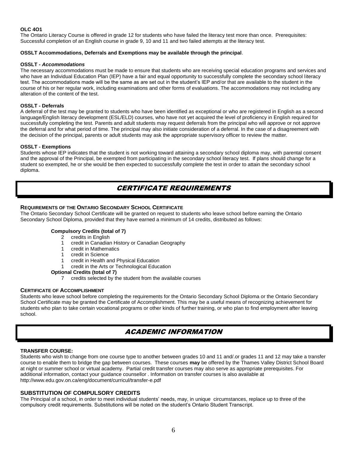# **OLC 4O1**

The Ontario Literacy Course is offered in grade 12 for students who have failed the literacy test more than once. Prerequisites: Successful completion of an English course in grade 9, 10 and 11 and two failed attempts at the literacy test.

# **OSSLT Accommodations, Deferrals and Exemptions may be available through the principal**.

# **OSSLT -** *Accommodations*

The necessary accommodations must be made to ensure that students who are receiving special education programs and services and who have an Individual Education Plan (IEP) have a fair and equal opportunity to successfully complete the secondary school literacy test. The accommodations made will be the same as are set out in the student's IEP and/or that are available to the student in the course of his or her regular work, including examinations and other forms of evaluations. The accommodations may not including any alteration of the content of the test.

# **OSSLT - Deferrals**

A deferral of the test may be granted to students who have been identified as exceptional or who are registered in English as a second language/English literacy development (ESL/ELD) courses, who have not yet acquired the level of proficiency in English required for successfully completing the test. Parents and adult students may request deferrals from the principal who will approve or not approve the deferral and for what period of time. The principal may also initiate consideration of a deferral. In the case of a disagreement with the decision of the principal, parents or adult students may ask the appropriate supervisory officer to review the matter.

## **OSSLT - Exemptions**

Students whose IEP indicates that the student is not working toward attaining a secondary school diploma may, with parental consent and the approval of the Principal, be exempted from participating in the secondary school literacy test. If plans should change for a student so exempted, he or she would be then expected to successfully complete the test in order to attain the secondary school diploma.

# CERTIFICATE REQUIREMENTS

# **REQUIREMENTS OF THE ONTARIO SECONDARY SCHOOL CERTIFICATE**

The Ontario Secondary School Certificate will be granted on request to students who leave school before earning the Ontario Secondary School Diploma, provided that they have earned a minimum of 14 credits, distributed as follows:

# **Compulsory Credits (total of 7)**

- 2 credits in English
- 1 credit in Canadian History or Canadian Geography
- 1 credit in Mathematics
- 1 credit in Science
- 1 credit in Health and Physical Education
- 1 credit in the Arts or Technological Education

#### **Optional Credits (total of 7)**

7 credits selected by the student from the available courses

# **CERTIFICATE OF ACCOMPLISHMENT**

Students who leave school before completing the requirements for the Ontario Secondary School Diploma or the Ontario Secondary School Certificate may be granted the Certificate of Accomplishment. This may be a useful means of recognizing achievement for students who plan to take certain vocational programs or other kinds of further training, or who plan to find employment after leaving school.

# ACADEMIC INFORMATION

# **TRANSFER COURSE:**

Students who wish to change from one course type to another between grades 10 and 11 and/.or grades 11 and 12 may take a transfer course to enable them to bridge the gap between courses. These courses **may** be offered by the Thames Valley District School Board at night or summer school or virtual academy. Partial credit transfer courses may also serve as appropriate prerequisites. For additional information, contact your guidance counsellor . Information on transfer courses is also available at http://www.edu.gov.on.ca/eng/document/curricul/transfer-e.pdf

# **SUBSTITUTION OF COMPULSORY CREDITS**

The Principal of a school, in order to meet individual students' needs, may, in unique circumstances, replace up to three of the compulsory credit requirements. Substitutions will be noted on the student's Ontario Student Transcript.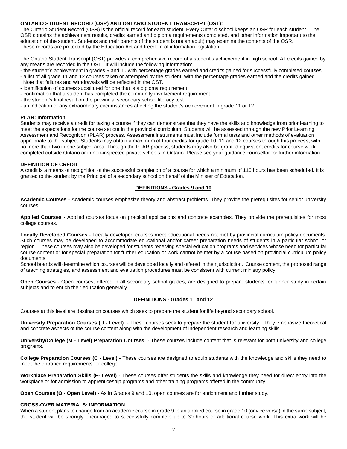# **ONTARIO STUDENT RECORD (OSR) AND ONTARIO STUDENT TRANSCRIPT (OST):**

The Ontario Student Record (OSR) is the official record for each student. Every Ontario school keeps an OSR for each student. The OSR contains the achievement results, credits earned and diploma requirements completed, and other information important to the education of the student. Students and their parents (if the student is not an adult) may examine the contents of the OSR. These records are protected by the Education Act and freedom of information legislation.

The Ontario Student Transcript (OST) provides a comprehensive record of a student's achievement in high school. All credits gained by any means are recorded in the OST. It will include the following information:

- the student's achievement in grades 9 and 10 with percentage grades earned and credits gained for successfully completed courses.
- a list of all grade 11 and 12 courses taken or attempted by the student, with the percentage grades earned and the credits gained.
- Note that failures and withdrawals will be reflected in the OST.
- identification of courses substituted for one that is a diploma requirement.
- confirmation that a student has completed the community involvement requirement
- the student's final result on the provincial secondary school literacy test.
- an indication of any extraordinary circumstances affecting the student's achievement in grade 11 or 12.

# **PLAR: Information**

Students may receive a credit for taking a course if they can demonstrate that they have the skills and knowledge from prior learning to meet the expectations for the course set out in the provincial curriculum. Students will be assessed through the new Prior Learning Assessment and Recognition (PLAR) process. Assessment instruments must include formal tests and other methods of evaluation appropriate to the subject. Students may obtain a maximum of four credits for grade 10, 11 and 12 courses through this process, with no more than two in one subject area. Through the PLAR process, students may also be granted equivalent credits for course work completed outside Ontario or in non-inspected private schools in Ontario. Please see your guidance counsellor for further information.

# **DEFINITION OF CREDIT**

A credit is a means of recognition of the successful completion of a course for which a minimum of 110 hours has been scheduled. It is granted to the student by the Principal of a secondary school on behalf of the Minister of Education.

# **DEFINITIONS - Grades 9 and 10**

**Academic Courses** - Academic courses emphasize theory and abstract problems. They provide the prerequisites for senior university courses.

**Applied Courses** - Applied courses focus on practical applications and concrete examples. They provide the prerequisites for most college courses.

**Locally Developed Courses** - Locally developed courses meet educational needs not met by provincial curriculum policy documents. Such courses may be developed to accommodate educational and/or career preparation needs of students in a particular school or region. These courses may also be developed for students receiving special education programs and services whose need for particular course content or for special preparation for further education or work cannot be met by a course based on provincial curriculum policy documents.

School boards will determine which courses will be developed locally and offered in their jurisdiction. Course content, the proposed range of teaching strategies, and assessment and evaluation procedures must be consistent with current ministry policy.

**Open Courses** - Open courses, offered in all secondary school grades, are designed to prepare students for further study in certain subjects and to enrich their education generally.

# **DEFINITIONS - Grades 11 and 12**

Courses at this level are destination courses which seek to prepare the student for life beyond secondary school.

**University Preparation Courses (U - Level)** - These courses seek to prepare the student for university. They emphasize theoretical and concrete aspects of the course content along with the development of independent research and learning skills.

**University/College (M - Level) Preparation Courses** - These courses include content that is relevant for both university and college programs.

**College Preparation Courses (C - Level)** - These courses are designed to equip students with the knowledge and skills they need to meet the entrance requirements for college.

**Workplace Preparation Skills (E- Level)** - These courses offer students the skills and knowledge they need for direct entry into the workplace or for admission to apprenticeship programs and other training programs offered in the community.

**Open Courses (O - Open Level)** - As in Grades 9 and 10, open courses are for enrichment and further study.

# **CROSS-OVER MATERIALS: INFORMATION**

When a student plans to change from an academic course in grade 9 to an applied course in grade 10 (or vice versa) in the same subject, the student will be strongly encouraged to successfully complete up to 30 hours of additional course work. This extra work will be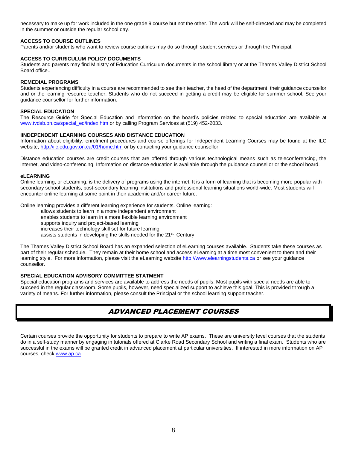necessary to make up for work included in the one grade 9 course but not the other. The work will be self-directed and may be completed in the summer or outside the regular school day.

# **ACCESS TO COURSE OUTLINES**

Parents and/or students who want to review course outlines may do so through student services or through the Principal.

## **ACCESS TO CURRICULUM POLICY DOCUMENTS**

Students and parents may find Ministry of Education Curriculum documents in the school library or at the Thames Valley District School Board office..

#### **REMEDIAL PROGRAMS**

Students experiencing difficulty in a course are recommended to see their teacher, the head of the department, their guidance counsellor and or the learning resource teacher. Students who do not succeed in getting a credit may be eligible for summer school. See your guidance counsellor for further information.

## **SPECIAL EDUCATION**

The Resource Guide for Special Education and information on the board's policies related to special education are available at [www.tvdsb.on.ca/special\\_ed/index.htm](file://///2080m01/users/office/TV13316/Howedata/GUIDANCE/www.tvdsb.on.ca/special_ed/index.htm) or by calling Program Services at (519) 452-2033.

#### **IINDEPENDENT LEARNING COURSES AND DISTANCE EDUCATION**

Information about eligibility, enrolment procedures and course offerings for Independent Learning Courses may be found at the ILC website[, http://ilc.edu.gov.on.ca/01/home.htm](http://ilc.edu.gov.on.ca/01/home.htm) or by contacting your guidance counsellor.

Distance education courses are credit courses that are offered through various technological means such as teleconferencing, the internet, and video-conferencing. Information on distance education is available through the guidance counsellor or the school board.

#### **eLEARNING**

Online learning, or eLearning, is the delivery of programs using the internet. It is a form of learning that is becoming more popular with secondary school students, post-secondary learning institutions and professional learning situations world-wide. Most students will encounter online learning at some point in their academic and/or career future.

Online learning provides a different learning experience for students. Online learning:

allows students to learn in a more independent environment

enables students to learn in a more flexible learning environment

supports inquiry and project-based learning

increases their technology skill set for future learning

assists students in developing the skills needed for the 21<sup>st</sup> Century

The Thames Valley District School Board has an expanded selection of eLearning courses available. Students take these courses as part of their regular schedule. They remain at their home school and access eLearning at a time most convenient to them and their learning style. For more information, please visit the eLearning website [http://www.elearningstudents.ca](http://www.tvdsb.on.ca/virtualacademy) or see your guidance counsellor.

# **SPECIAL EDUCATION ADVISORY COMMITTEE STATMENT**

Special education programs and services are available to address the needs of pupils. Most pupils with special needs are able to succeed in the regular classroom. Some pupils, however, need specialized support to achieve this goal. This is provided through a variety of means. For further information, please consult the Principal or the school learning support teacher.

# ADVANCED PLACEMENT COURSES

Certain courses provide the opportunity for students to prepare to write AP exams. These are university level courses that the students do in a self-study manner by engaging in tutorials offered at Clarke Road Secondary School and writing a final exam. Students who are successful in the exams will be granted credit in advanced placement at particular universities. If interested in more information on AP courses, check [www.ap.ca.](http://www.ap.ca/)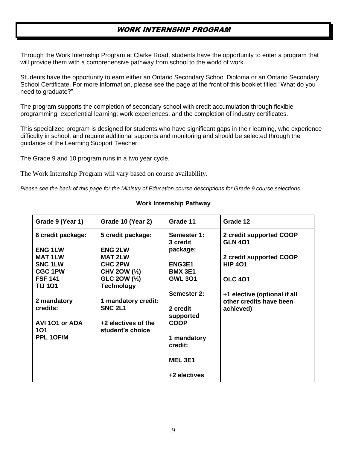# WORK INTERNSHIP PROGRAM

Through the Work Internship Program at Clarke Road, students have the opportunity to enter a program that will provide them with a comprehensive pathway from school to the world of work.

Students have the opportunity to earn either an Ontario Secondary School Diploma or an Ontario Secondary School Certificate. For more information, please see the page at the front of this booklet titled "What do you need to graduate?"

The program supports the completion of secondary school with credit accumulation through flexible programming; experiential learning; work experiences, and the completion of industry certificates.

This specialized program is designed for students who have significant gaps in their learning, who experience difficulty in school, and require additional supports and monitoring and should be selected through the guidance of the Learning Support Teacher.

The Grade 9 and 10 program runs in a two year cycle.

The Work Internship Program will vary based on course availability.

*Please see the back of this page for the Ministry of Education course descriptions for Grade 9 course selections.*

| Grade 9 (Year 1)  | Grade 10 (Year 2)   | Grade 11                | Grade 12                                  |
|-------------------|---------------------|-------------------------|-------------------------------------------|
| 6 credit package: | 5 credit package:   | Semester 1:<br>3 credit | 2 credit supported COOP<br><b>GLN 401</b> |
| <b>ENG 1LW</b>    | <b>ENG 2LW</b>      | package:                |                                           |
| <b>MAT1LW</b>     | <b>MAT 2LW</b>      |                         | 2 credit supported COOP                   |
| <b>SNC 1LW</b>    | <b>CHC 2PW</b>      | ENG3E1                  | <b>HIP 401</b>                            |
| <b>CGC 1PW</b>    | CHV 2OW (1/2)       | <b>BMX 3E1</b>          |                                           |
| <b>FSF 141</b>    | GLC 2OW (1/2)       | <b>GWL 301</b>          | <b>OLC 401</b>                            |
| <b>TIJ 101</b>    | <b>Technology</b>   |                         |                                           |
|                   |                     | <b>Semester 2:</b>      | +1 elective (optional if all              |
| 2 mandatory       | 1 mandatory credit: |                         | other credits have been                   |
| credits:          | <b>SNC 2L1</b>      | 2 credit                | achieved)                                 |
|                   |                     | supported               |                                           |
| AVI 101 or ADA    | +2 electives of the | <b>COOP</b>             |                                           |
| 101               | student's choice    |                         |                                           |
| PPL 1OF/M         |                     | 1 mandatory             |                                           |
|                   |                     | credit:                 |                                           |
|                   |                     |                         |                                           |
|                   |                     | <b>MEL 3E1</b>          |                                           |
|                   |                     | +2 electives            |                                           |

# **Work Internship Pathway**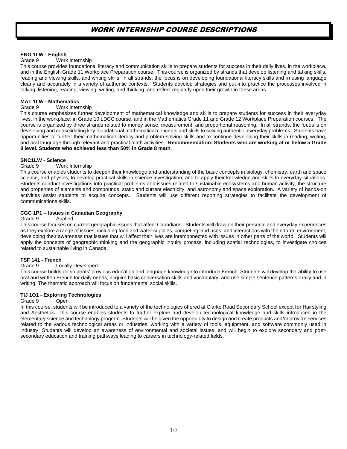# WORK INTERNSHIP COURSE DESCRIPTIONS

# **ENG 1LW - English**

# Grade 9 Work Internship

This course provides foundational literacy and communication skills to prepare students for success in their daily lives, in the workplace, and in the English Grade 11 Workplace Preparation course. This course is organized by strands that develop listening and talking skills, reading and viewing skills, and writing skills. In all strands, the focus is on developing foundational literacy skills and in using language clearly and accurately in a variety of authentic contexts. Students develop strategies and put into practice the processes involved in talking, listening, reading, viewing, writing, and thinking, and reflect regularly upon their growth in these areas.

# **MAT 1LW - Mathematics**

# Grade 9 Work Internship

This course emphasizes further development of mathematical knowledge and skills to prepare students for success in their everyday lives, in the workplace, in Grade 10 LDCC course, and in the Mathematics Grade 11 and Grade 12 Workplace Preparation courses. The course is organized by three strands related to money sense, measurement, and proportional reasoning. In all strands, the focus is on developing and consolidating key foundational mathematical concepts and skills to solving authentic, everyday problems. Students have opportunities to further their mathematical literacy and problem-solving skills and to continue developing their skills in reading, writing, and oral language through relevant and practical math activities. **Recommendation: Students who are working at or below a Grade 8 level. Students who achieved less than 50% in Grade 8 math.**

# **SNC1LW - Science**

# Grade 9 Work Internship

This course enables students to deepen their knowledge and understanding of the basic concepts in biology, chemistry, earth and space science, and physics; to develop practical skills in science investigation; and to apply their knowledge and skills to everyday situations. Students conduct investigations into practical problems and issues related to sustainable ecosystems and human activity, the structure and properties of elements and compounds, static and current electricity, and astronomy and space exploration. A variety of hands-on activities assist students to acquire concepts. Students will use different reporting strategies to facilitate the development of communications skills.

# **CGC 1P1 – Issues in Canadian Geography**

#### Grade 9 Applied

This course focuses on current geographic issues that affect Canadians. Students will draw on their personal and everyday experiences as they explore a range of issues, including food and water supplies, competing land uses, and interactions with the natural environment, developing their awareness that issues that will affect their lives are interconnected with issues in other parts of the world. Students will apply the concepts of geographic thinking and the geographic inquiry process, including spatial technologies, to investigate choices related to sustainable living in Canada.

# **FSF 141 - French**

# Grade 9 Locally Developed

This course builds on students' previous education and language knowledge to introduce French. Students will develop the ability to use oral and written French for daily needs, acquire basic conversation skills and vocabulary, and use simple sentence patterns orally and in writing. The thematic approach will focus on fundamental social skills.

# **TIJ 1O1 - Exploring Technologies**

# Grade 9 Open

In this course, students will be introduced to a variety of the technologies offered at Clarke Road Secondary School except for Hairstyling and Aesthetics. This course enables students to further explore and develop technological knowledge and skills introduced in the elementary science and technology program. Students will be given the opportunity to design and create products and/or provide services related to the various technological areas or industries, working with a variety of tools, equipment, and software commonly used in industry. Students will develop an awareness of environmental and societal issues, and will begin to explore secondary and postsecondary education and training pathways leading to careers in technology-related fields.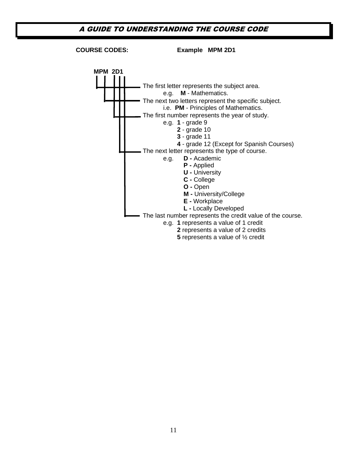# A GUIDE TO UNDERSTANDING THE COURSE CODE

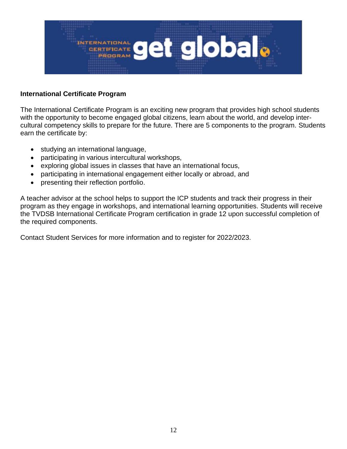

# **International Certificate Program**

The International Certificate Program is an exciting new program that provides high school students with the opportunity to become engaged global citizens, learn about the world, and develop intercultural competency skills to prepare for the future. There are 5 components to the program. Students earn the certificate by:

- studying an international language,
- participating in various intercultural workshops,
- exploring global issues in classes that have an international focus,
- participating in international engagement either locally or abroad, and
- presenting their reflection portfolio.

A teacher advisor at the school helps to support the ICP students and track their progress in their program as they engage in workshops, and international learning opportunities. Students will receive the TVDSB International Certificate Program certification in grade 12 upon successful completion of the required components.

Contact Student Services for more information and to register for 2022/2023.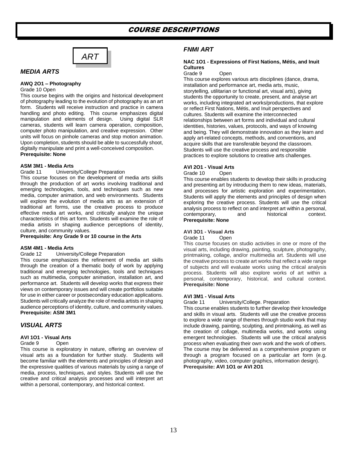# COURSE DESCRIPTIONS



# *MEDIA ARTS*

## **AWQ 2O1 – Photography**

#### Grade 10 Open

This course begins with the origins and historical development of photography leading to the evolution of photography as an art form. Students will receive instruction and practice in camera handling and photo editing. This course emphasizes digital manipulation and elements of design. Using digital SLR cameras, students will learn camera operation, composition, computer photo manipulation, and creative expression. Other units will focus on pinhole cameras and stop motion animation. Upon completion, students should be able to successfully shoot, digitally manipulate and print a well-conceived composition. **Prerequisite: None**

#### **ASM 3M1 - Media Arts**

Grade 11 University/College Preparation

This course focuses on the development of media arts skills through the production of art works involving traditional and emerging technologies, tools, and techniques such as new media, computer animation, and web environments. Students will explore the evolution of media arts as an extension of traditional art forms, use the creative process to produce effective media art works, and critically analyze the unique characteristics of this art form. Students will examine the role of media artists in shaping audience perceptions of identity, culture, and community values.

**Prerequisite: Any Grade 9 or 10 course in the Arts**

#### **ASM 4M1 - Media Arts**

#### Grade 12 University/College Preparation

This course emphasizes the refinement of media art skills through the creation of a thematic body of work by applying traditional and emerging technologies, tools and techniques such as multimedia, computer animation, installation art, and performance art. Students will develop works that express their views on contemporary issues and will create portfolios suitable for use in either career or postsecondary education applications. Students will critically analyze the role of media artists in shaping audience perceptions of identity, culture, and community values. **Prerequisite: ASM 3M1**

# *VISUAL ARTS*

#### **AVI 1O1 - Visual Arts**

#### Grade 9 Open

This course is exploratory in nature, offering an overview of visual arts as a foundation for further study. Students will become familiar with the elements and principles of design and the expressive qualities of various materials by using a range of media, process, techniques, and styles. Students will use the creative and critical analysis processes and will interpret art within a personal, contemporary, and historical context.

# *FNMI ART*

# **NAC 1O1 - Expressions of First Nations, Métis, and Inuit Cultures**

#### Grade 9 Open

This course explores various arts disciplines (dance, drama, installation and performance art, media arts, music, storytelling, utilitarian or functional art, visual arts), giving students the opportunity to create, present, and analyse art works, including integrated art works/productions, that explore or reflect First Nations, Métis, and Inuit perspectives and cultures. Students will examine the interconnected relationships between art forms and individual and cultural identities, histories, values, protocols, and ways of knowing and being. They will demonstrate innovation as they learn and apply art-related concepts, methods, and conventions, and acquire skills that are transferable beyond the classroom. Students will use the creative process and responsible practices to explore solutions to creative arts challenges.

#### **AVI 2O1 - Visual Arts**

Grade 10 Open

This course enables students to develop their skills in producing and presenting art by introducing them to new ideas, materials, and processes for artistic exploration and experimentation. Students will apply the elements and principles of design when exploring the creative process. Students will use the critical analysis process to reflect on and interpret art within a personal, contemporary, and historical context. **Prerequisite: None**

## **AVI 3O1 - Visual Arts**

#### Grade 11 Open

This course focuses on studio activities in one or more of the visual arts, including drawing, painting, sculpture, photography, printmaking, collage, and/or multimedia art. Students will use the creative process to create art works that reflect a wide range of subjects and will evaluate works using the critical analysis process. Students will also explore works of art within a personal, contemporary, historical, and cultural context. **Prerequisite: None**

#### **AVI 3M1 - Visual Arts**

Grade 11 University/College. Preparation

This course enables students to further develop their knowledge and skills in visual arts. Students will use the creative process to explore a wide range of themes through studio work that may include drawing, painting, sculpting, and printmaking, as well as the creation of collage, multimedia works, and works using emergent technologies. Students will use the critical analysis process when evaluating their own work and the work of others. The course may be delivered as a comprehensive program or through a program focused on a particular art form (e.g. photography, video, computer graphics, information design). **Prerequisite: AVI 1O1 or AVI 2O1**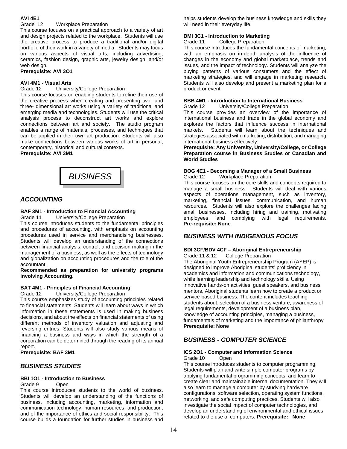# **AVI 4E1**

# Grade 12 Workplace Preparation

This course focuses on a practical approach to a variety of art and design projects related to the workplace. Students will use the creative process to produce a traditional and/or digital portfolio of their work in a variety of media. Students may focus on various aspects of visual arts, including advertising, ceramics, fashion design, graphic arts, jewelry design, and/or web design.

#### **Prerequisite: AVI 3O1**

## **AVI 4M1 - Visual Arts**

Grade 12 University/College Preparation

This course focuses on enabling students to refine their use of the creative process when creating and presenting two- and three- dimensional art works using a variety of traditional and emerging media and technologies. Students will use the critical analysis process to deconstruct art works and explore connections between art and society. The studio program enables a range of materials, processes, and techniques that can be applied in their own art production. Students will also make connections between various works of art in personal, contemporary, historical and cultural contexts.

**Prerequisite: AVI 3M1**



# *ACCOUNTING*

# **BAF 3M1 - Introduction to Financial Accounting**

Grade 11 University/College Preparation

This course introduces students to the fundamental principles and procedures of accounting, with emphasis on accounting procedures used in service and merchandising businesses. Students will develop an understanding of the connections between financial analysis, control, and decision making in the management of a business, as well as the effects of technology and globalization on accounting procedures and the role of the accountant.

#### **Recommended as preparation for university programs involving Accounting.**

# **BAT 4M1 - Principles of Financial Accounting**

Grade 12 University/College Preparation

This course emphasizes study of accounting principles related to financial statements. Students will learn about ways in which information in these statements is used in making business decisions, and about the effects on financial statements of using different methods of inventory valuation and adjusting and reversing entries. Students will also study various means of financing a business and ways in which the strength of a corporation can be determined through the reading of its annual report.

**Prerequisite: BAF 3M1**

# *BUSINESS STUDIES*

#### **BBI 1O1 - Introduction to Business**

#### Grade 9 Open

This course introduces students to the world of business. Students will develop an understanding of the functions of business, including accounting, marketing, information and communication technology, human resources, and production, and of the importance of ethics and social responsibility. This course builds a foundation for further studies in business and

helps students develop the business knowledge and skills they will need in their everyday life.

# **BMI 3C1 - Introduction to Marketing**

Grade 11 College Preparation

This course introduces the fundamental concepts of marketing, with an emphasis on in-depth analysis of the influence of changes in the economy and global marketplace, trends and issues, and the impact of technology. Students will analyze the buying patterns of various consumers and the effect of marketing strategies, and will engage in marketing research. Students will also develop and present a marketing plan for a product or event.

# **BBB 4M1 - Introduction to International Business**

Grade 12 University/College Preparation

This course provides an overview of the importance of international business and trade in the global economy and explores the factors that influence success in international markets. Students will learn about the techniques and strategies associated with marketing, distribution, and managing international business effectively.

**Prerequisite: Any University, University/College, or College Preparation course in Business Studies or Canadian and World Studies**

# **BOG 4E1 - Becoming a Manager of a Small Business**

Grade 12 Workplace Preparation

This course focuses on the core skills and concepts required to manage a small business. Students will deal with various aspects of operations management, such as inventory, marketing, financial issues, communication, and human resources. Students will also explore the challenges facing small businesses, including hiring and training, motivating employees, and complying with legal requirements. **Pre-requisite: None**

# *BUSINESS WITH INDIGENOUS FOCUS*

# **BDI 3CF/BDV 4CF – Aboriginal Entrepreneurship**

Grade 11 & 12 College Preparation

The Aboriginal Youth Entrepreneurship Program (AYEP) is designed to improve Aboriginal students' proficiency in academics and information and communications technology, while learning leadership and technology skills. Using innovative hands-on activities, guest speakers, and business mentors, Aboriginal students learn how to create a product or service-based business. The content includes teaching students about: selection of a business venture, awareness of legal requirements, development of a business plan, knowledge of accounting principles, managing a business, fundamentals of marketing and the importance of philanthropy **Prerequisite: None**

# *BUSINESS - COMPUTER SCIENCE*

#### **ICS 2O1 - Computer and Information Science** Grade 10

This course introduces students to computer programming. Students will plan and write simple computer programs by applying fundamental programming concepts, and learn to create clear and maintainable internal documentation. They will also learn to manage a computer by studying hardware configurations, software selection, operating system functions, networking, and safe computing practices. Students will also investigate the social impact of computer technologies, and develop an understanding of environmental and ethical issues related to the use of computers. **Prerequisite: None**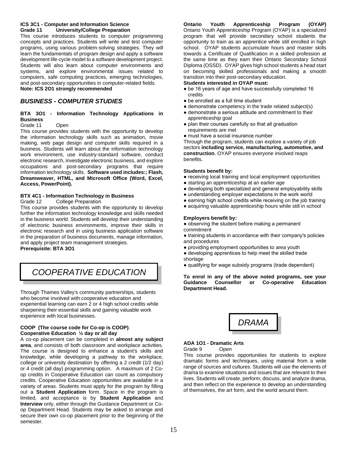# **ICS 3C1 - Computer and Information Science Grade 11 University/College Preparation**

This course introduces students to computer programming concepts and practices. Students will write and test computer programs, using various problem-solving strategies. They will learn the fundamentals of program design and apply a software development life-cycle model to a software development project. Students will also learn about computer environments and systems, and explore environmental issues related to computers, safe computing practices, emerging technologies, and post-secondary opportunities in computer-related fields. **Note: ICS 2O1 strongly recommended**

# *BUSINESS - COMPUTER STUDIES*

# **BTA 3O1 - Information Technology Applications in Business**

# Grade 11 Open

This course provides students with the opportunity to develop the information technology skills such as animation, movie making, web page design and computer skills required in a business. Students will learn about the information technology work environment, use industry-standard software, conduct electronic research, investigate electronic business, and explore occupations and post-secondary programs that require information technology skills. **Software used includes:; Flash, Dreamweaver, HTML, and Microsoft Office (Word, Excel, Access, PowerPoint).** 

# **BTX 4C1 - Information Technology in Business**

Grade 12 College Preparation

This course provides students with the opportunity to develop further the information technology knowledge and skills needed in the business world. Students will develop their understanding of electronic business environments, improve their skills in electronic research and in using business application software in the preparation of business documents, manage information, and apply project team management strategies.

**Prerequisite: BTA 3O1**

*COOPERATIVE EDUCATION* 

Through Thames Valley's community partnerships, students who become involved with cooperative education and experiential learning can earn 2 or 4 high school credits while sharpening their essential skills and gaining valuable work experience with local businesses.

# **COOP (The course code for Co-op is COOP)**. **Cooperative Education ½ day or all day**

A co-op placement can be completed in **almost any subject area**, and consists of both classroom and workplace activities. The course is designed to enhance a student's skills and knowledge, while developing a pathway to the workplace, college or university destination by offering a 2 credit (1/2 day) or 4 credit (all day) programming option. A maximum of 2 Coop credits in Cooperative Education can count as compulsory credits. Cooperative Education opportunities are available in a variety of areas. Students must apply for the program by filling out a **Student Application** form. Space in the program is limited, and acceptance is by **Student Application** and **Interview** only, either through the Guidance Department or Coop Department Head. Students may be asked to arrange and secure their own co-op placement prior to the beginning of the semester.

**Ontario Youth Apprenticeship Program (OYAP)** Ontario Youth Apprenticeship Program (OYAP) is a specialized program that will provide secondary school students the opportunity to train as an apprentice while still enrolled in high school. OYAP students accumulate hours and master skills towards a Certificate of Qualification in a skilled profession at the same time as they earn their Ontario Secondary School Diploma (OSSD). OYAP gives high school students a head start on becoming skilled professionals and making a smooth transition into their post-secondary education.

# **Students interested in OYAP must:**

- be 16 years of age and have successfully completed 16 credits
- be enrolled as a full time student
- demonstrate competency in the trade related subject(s)
- demonstrate a serious attitude and commitment to their apprenticeship goal
- plan their courses carefully so that all graduation requirements are met
- must have a social insurance number

Through the program, students can explore a variety of job sectors **including service, manufacturing, automotive, and construction**. OYAP ensures everyone involved reaps benefits.

# **Students benefit by:**

- receiving local training and local employment opportunities
- starting an apprenticeship at an earlier age
- developing both specialized and general employability skills
- understanding employer expectations in the work world
- earning high school credits while receiving on the job training
- acquiring valuable apprenticeship hours while still in school

# **Employers benefit by:**

● observing the student before making a permanent commitment

- training students in accordance with their company's policies and procedures
- providing employment opportunities to area youth
- developing apprentices to help meet the skilled trade shortage
- qualifying for wage subsidy programs (trade dependent)

#### **To enrol in any of the above noted programs, see your Guidance Counsellor or Co-operative Education Department Head.**



# **ADA 1O1 - Dramatic Arts**

Grade 9 Open

This course provides opportunities for students to explore dramatic forms and techniques, using material from a wide range of sources and cultures. Students will use the elements of drama to examine situations and issues that are relevant to their lives. Students will create, perform, discuss, and analyze drama, and then reflect on the experience to develop an understanding of themselves, the art form, and the world around them.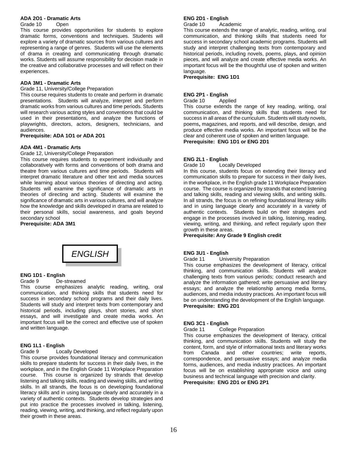# **ADA 2O1 - Dramatic Arts**

### Grade 10 Open

This course provides opportunities for students to explore dramatic forms, conventions and techniques. Students will explore a variety of dramatic sources from various cultures and representing a range of genres. Students will use the elements of drama in creating and communicating through dramatic works. Students will assume responsibility for decision made in the creative and collaborative processes and will reflect on their experiences.

# **ADA 3M1 - Dramatic Arts**

Grade 11, University/College Preparation

This course requires students to create and perform in dramatic presentations. Students will analyze, interpret and perform dramatic works from various cultures and time periods. Students will research various acting styles and conventions that could be used in their presentations, and analyze the functions of playwrights, directors, actors, designers, technicians, and audiences.

# **Prerequisite: ADA 1O1 or ADA 2O1**

# **ADA 4M1 - Dramatic Arts**

Grade 12, University/College Preparation

This course requires students to experiment individually and collaboratively with forms and conventions of both drama and theatre from various cultures and time periods. Students will interpret dramatic literature and other text and media sources while learning about various theories of directing and acting. Students will examine the significance of dramatic arts in theories of directing and acting. Students will examine the significance of dramatic arts in various cultures, and will analyze how the knowledge and skills developed in drama are related to their personal skills, social awareness, and goals beyond secondary school

**Prerequisite: ADA 3M1**



# **ENG 1D1 - English**

#### Grade 9 De-streamed

This course emphasizes analytic reading, writing, oral communication, and thinking skills that students need for success in secondary school programs and their daily lives. Students will study and interpret texts from contemporary and historical periods, including plays, short stories, and short essays, and will investigate and create media works. An important focus will be the correct and effective use of spoken and written language.

# **ENG 1L1 - English**

# Grade 9 Locally Developed

This course provides foundational literacy and communication skills to prepare students for success in their daily lives, in the workplace, and in the English Grade 11 Workplace Preparation course. This course is organized by strands that develop listening and talking skills, reading and viewing skills, and writing skills. In all strands, the focus is on developing foundational literacy skills and in using language clearly and accurately in a variety of authentic contexts. Students develop strategies and put into practice the processes involved in talking, listening, reading, viewing, writing, and thinking, and reflect regularly upon their growth in these areas.

# **ENG 2D1 - English**

Grade 10 Academic

This course extends the range of analytic, reading, writing, oral communication, and thinking skills that students need for success in secondary school academic programs. Students will study and interpret challenging texts from contemporary and historical periods, including novels, poems, plays, and opinion pieces, and will analyze and create effective media works. An important focus will be the thoughtful use of spoken and written language.

**Prerequisite: ENG 1D1**

# **ENG 2P1 - English**

Grade 10 Applied

This course extends the range of key reading, writing, oral communication, and thinking skills that students need for success in all areas of the curriculum. Students will study novels, poems**,** magazines, and reports, and will describe, design, and produce effective media works. An important focus will be the clear and coherent use of spoken and written language. **Prerequisite: ENG 1D1 or ENG 2D1**

# **ENG 2L1 - English**

Grade 10 Locally Developed

In this course, students focus on extending their literacy and communication skills to prepare for success in their daily lives, in the workplace, in the English grade 11 Workplace Preparation course. The course is organized by strands that extend listening and talking skills, reading and viewing skills, and writing skills. In all strands, the focus is on refining foundational literacy skills and in using language clearly and accurately in a variety of authentic contexts. Students build on their strategies and engage in the processes involved in talking, listening, reading, viewing, writing, and thinking, and reflect regularly upon their growth in these areas.

**Prerequisite: Any Grade 9 English credit**

# **ENG 3U1 - English**

Grade 11 University Preparation

This course emphasizes the development of literacy, critical thinking, and communication skills. Students will analyze challenging texts from various periods; conduct research and analyze the information gathered; write persuasive and literary essays; and analyze the relationship among media forms, audiences, and media industry practices. An important focus will be on understanding the development of the English language. **Prerequisite: ENG 2D1**

# **ENG 3C1 - English**

Grade 11 College Preparation

This course emphasizes the development of literacy, critical thinking, and communication skills. Students will study the content, form, and style of informational texts and literary works from Canada and other countries; write reports, correspondence, and persuasive essays; and analyze media forms, audiences, and media industry practices. An important focus will be on establishing appropriate voice and using business and technical language with precision and clarity. **Prerequisite: ENG 2D1 or ENG 2P1**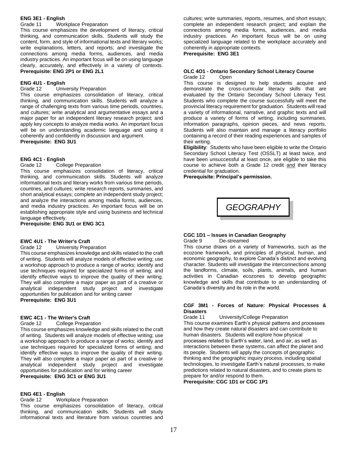# **ENG 3E1 - English**

Grade 11 Workplace Preparation

This course emphasizes the development of literacy, critical thinking, and communication skills. Students will study the content, form, and style of informational texts and literary works; write explanations, letters, and reports; and investigate the connections among media forms, audiences, and media industry practices. An important focus will be on using language clearly, accurately, and effectively in a variety of contexts. **Prerequisite: ENG 2P1 or ENG 2L1**

#### **ENG 4U1 - English**

Grade 12 University Preparation

This course emphasizes consolidation of literacy, critical thinking, and communication skills. Students will analyze a range of challenging texts from various time periods, countries, and cultures; write analytical and argumentative essays and a major paper for an independent literary research project; and apply key concepts to analyze media works. An important focus will be on understanding academic language and using it coherently and confidently in discussion and argument. **Prerequisite: ENG 3U1**

#### **ENG 4C1 - English**

Grade 12 College Preparation

This course emphasizes consolidation of literacy, critical thinking, and communication skills. Students will analyze informational texts and literary works from various time periods, countries, and cultures; write research reports, summaries, and short analytical essays; complete an independent study project; and analyze the interactions among media forms, audiences, and media industry practices. An important focus will be on establishing appropriate style and using business and technical language effectively.

**Prerequisite: ENG 3U1 or ENG 3C1**

# **EWC 4U1 - The Writer's Craft**

Grade 12 University Preparation

This course emphasizes knowledge and skills related to the craft of writing. Students will analyze models of effective writing; use a workshop approach to produce a range of works; identify and use techniques required for specialized forms of writing; and identify effective ways to improve the quality of their writing. They will also complete a major paper as part of a creative or analytical independent study project and investigate opportunities for publication and for writing career **Prerequisite: ENG 3U1**

#### **EWC 4C1 - The Writer's Craft**

Grade 12 College Preparation

This course emphasizes knowledge and skills related to the craft of writing. Students will analyze models of effective writing; use a workshop approach to produce a range of works; identify and use techniques required for specialized forms of writing; and identify effective ways to improve the quality of their writing. They will also complete a major paper as part of a creative or analytical independent study project and investigate opportunities for publication and for writing career **Prerequisite: ENG 3C1 or ENG 3U1**

#### **ENG 4E1 - English**

Grade 12 Workplace Preparation

This course emphasizes consolidation of literacy, critical thinking, and communication skills. Students will study informational texts and literature from various countries and

cultures; write summaries, reports, resumes, and short essays; complete an independent research project; and explain the connections among media forms, audiences, and media industry practices. An important focus will be on using specialized language related to the workplace accurately and coherently in appropriate contexts.

# **Prerequisite: ENG 3E1**

#### **OLC 4O1 - Ontario Secondary School Literacy Course** Grade 12 Open

This course is designed to help students acquire and demonstrate the cross-curricular literacy skills that are evaluated by the Ontario Secondary School Literacy Test. Students who complete the course successfully will meet the provincial literacy requirement for graduation. Students will read a variety of informational, narrative, and graphic texts and will produce a variety of forms of writing, including summaries, information paragraphs, opinion pieces, and news reports. Students will also maintain and manage a literacy portfolio containing a record of their reading experiences and samples of their writing.

**Eligibility**: Students who have been eligible to write the Ontario Secondary School Literacy Test (OSSLT) at least twice, and have been unsuccessful at least once, are eligible to take this course to achieve both a Grade 12 credit and their literacy credential for graduation.

**Prerequisite: Principal's permission.**

*GEOGRAPHY*

#### **CGC 1D1 – Issues in Canadian Geography** Grade 9 De-streamed

This course draws on a variety of frameworks, such as the ecozone framework, and principles of physical, human, and economic geography, to explore Canada's distinct and evolving character. Students will investigate the interconnections among the landforms, climate, soils, plants, animals, and human activities in Canadian ecozones to develop geographic knowledge and skills that contribute to an understanding of Canada's diversity and its role in the world.

#### **CGF 3M1 - Forces of Nature: Physical Processes & Disasters**

Grade 11 University/College Preparation This course examines Earth's physical patterns and processes and how they create natural disasters and can contribute to human disasters. Students will explore how physical processes related to Earth's water, land, and air, as well as interactions between these systems, can affect the planet and its people. Students will apply the concepts of geographic thinking and the geographic inquiry process, including spatial technologies, to investigate Earth's natural processes, to make predictions related to natural disasters, and to create plans to prepare for and/or respond to them.

**Prerequisite: CGC 1D1 or CGC 1P1**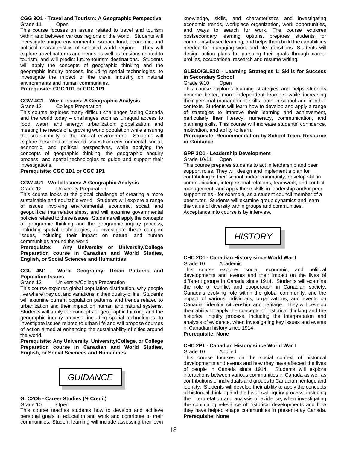#### **CGG 3O1 - Travel and Tourism: A Geographic Perspective** Grade 11 Open

This course focuses on issues related to travel and tourism within and between various regions of the world. Students will investigate unique environmental, sociocultural, economic, and political characteristics of selected world regions. They will explore travel patterns and trends as well as tensions related to tourism, and will predict future tourism destinations. Students will apply the concepts of geographic thinking and the geographic inquiry process, including spatial technologies, to investigate the impact of the travel industry on natural environments and human communities.

**Prerequisite: CGC 1D1 or CGC 1P1**

# **CGW 4C1 – World Issues: A Geographic Analysis**

# Grade 12 College Preparation

This course explores many difficult challenges facing Canada and the world today – challenges such as unequal access to food, water, and energy; urbanization; globalization; and meeting the needs of a growing world population while ensuring the sustainability of the natural environment. Students will explore these and other world issues from environmental, social, economic, and political perspectives, while applying the concepts of geographic thinking, the geographic enquiry process, and spatial technologies to guide and support their investigations.

**Prerequisite: CGC 1D1 or CGC 1P1**

# **CGW 4U1 - World Issues: A Geographic Analysis**

Grade 12 University Preparation

This course looks at the global challenge of creating a more sustainable and equitable world. Students will explore a range of issues involving environmental, economic, social, and geopolitical interrelationships, and will examine governmental policies related to these issues. Students will apply the concepts of geographic thinking and the geographic inquiry process, including spatial technologies, to investigate these complex issues, including their impact on natural and human communities around the world.

**Prerequisite: Any University or University/College Preparation course in Canadian and World Studies, English, or Social Sciences and Humanities**

#### **CGU 4M1 - World Geography: Urban Patterns and Population Issues**

Grade 12 University/College Preparation

This course explores global population distribution, why people live where they do, and variations in their quality of life. Students will examine current population patterns and trends related to urbanization and their impact on human and natural systems. Students will apply the concepts of geographic thinking and the geographic inquiry process, including spatial technologies, to investigate issues related to urban life and will propose courses of action aimed at enhancing the sustainability of cities around the world.

**Prerequisite: Any University, University/College, or College Preparation course in Canadian and World Studies, English, or Social Sciences and Humanities**

*GUIDANCE*

# **GLC2O5 - Career Studies (½ Credit)**

Grade 10 Open

This course teaches students how to develop and achieve personal goals in education and work and contribute to their communities. Student learning will include assessing their own

knowledge, skills, and characteristics and investigating economic trends, workplace organization, work opportunities, and ways to search for work. The course explores postsecondary learning options, prepares students for community-based learning, and helps them build the capabilities needed for managing work and life transitions. Students will design action plans for pursuing their goals through career profiles, occupational research and resume writing.

# **GLE1O/GLE2O - Learning Strategies 1: Skills for Success in Secondary School**

#### Grade 9/10 Open

This course explores learning strategies and helps students become better, more independent learners while increasing their personal management skills, both in school and in other contexts. Students will learn how to develop and apply a range of strategies to improve their learning and achievement, particularly their literacy, numeracy, communication, and planning skills. This course will increase students' confidence, motivation, and ability to learn.

#### **Prerequisite: Recommendation by School Team, Resource or Guidance.**

# **GPP 3O1 - Leadership Development**

Grade 10/11 Open

This course prepares students to act in leadership and peer support roles. They will design and implement a plan for contributing to their school and/or community; develop skill in communication, interpersonal relations, teamwork, and conflict management; and apply those skills in leadership and/or peer support roles - for example, as a student council member of a peer tutor. Students will examine group dynamics and learn the value of diversity within groups and communities. Acceptance into course is by interview.



#### **CHC 2D1 - Canadian History since World War I** Grade 10 Academic

This course explores social, economic, and political developments and events and their impact on the lives of different groups in Canada since 1914. Students will examine the role of conflict and cooperation in Canadian society, Canada's evolving role within the global community, and the impact of various individuals, organizations, and events on Canadian identity, citizenship, and heritage. They will develop their ability to apply the concepts of historical thinking and the historical inquiry process, including the interpretation and analysis of evidence, when investigating key issues and events in Canadian history since 1914.

**Prerequisite: None**

# **CHC 2P1 - Canadian History since World War I**

# Grade 10 Applied

This course focuses on the social context of historical developments and events and how they have affected the lives of people in Canada since 1914. Students will explore interactions between various communities in Canada as well as contributions of individuals and groups to Canadian heritage and identity. Students will develop their ability to apply the concepts of historical thinking and the historical inquiry process, including the interpretation and analysis of evidence, when investigating the continuing relevance of historical developments and how they have helped shape communities in present-day Canada. **Prerequisite: None**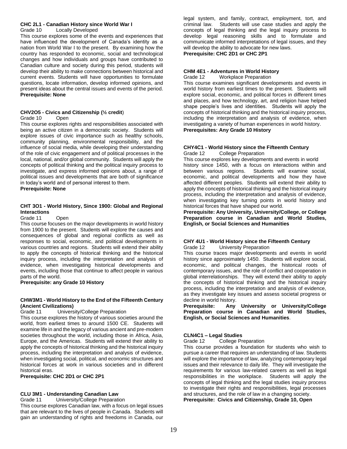#### **CHC 2L1 - Canadian History since World War I**

Grade 10 Locally Developed

This course explores some of the events and experiences that have influenced the development of Canada's identity as a nation from World War I to the present. By examining how the country has responded to economic, social and technological changes and how individuals and groups have contributed to Canadian culture and society during this period, students will develop their ability to make connections between historical and current events. Students will have opportunities to formulate questions, locate information, develop informed opinions, and present ideas about the central issues and events of the period. **Prerequisite: None**

## **CHV2O5 - Civics and Citizenship (½ credit**)

#### Grade 10 Open

This course explores rights and responsibilities associated with being an active citizen in a democratic society. Students will explore issues of civic importance such as healthy schools, community planning, environmental responsibility, and the influence of social media, while developing their understanding of the role of civic engagement and of political processes in the local, national, and/or global community. Students will apply the concepts of political thinking and the political inquiry process to investigate, and express informed opinions about, a range of political issues and developments that are both of significance in today's world and of personal interest to them.

**Prerequisite: None**

#### **CHT 3O1 - World History, Since 1900: Global and Regional Interactions**

#### Grade 11 Open

This course focuses on the major developments in world history from 1900 to the present. Students will explore the causes and consequences of global and regional conflicts as well as responses to social, economic, and political developments in various countries and regions. Students will extend their ability to apply the concepts of historical thinking and the historical inquiry process, including the interpretation and analysis of evidence, when investigating historical developments and events, including those that continue to affect people in various parts of the world.

**Prerequisite: any Grade 10 History**

# **CHW3M1 - World History to the End of the Fifteenth Century (Ancient Civilizations)**

University/College Preparation

This course explores the history of various societies around the world, from earliest times to around 1500 CE. Students will examine life in and the legacy of various ancient and pre-modern societies throughout the world, including those in Africa, Asia, Europe, and the Americas. Students will extend their ability to apply the concepts of historical thinking and the historical inquiry process, including the interpretation and analysis of evidence, when investigating social, political, and economic structures and historical forces at work in various societies and in different historical eras.

**Prerequisite: CHC 2D1 or CHC 2P1**

# **CLU 3M1 - Understanding Canadian Law**

# Grade 11 University/College Preparation

This course explores Canadian law, with a focus on legal issues that are relevant to the lives of people in Canada. Students will gain an understanding of rights and freedoms in Canada, our legal system, and family, contract, employment, tort, and criminal law. Students will use case studies and apply the concepts of legal thinking and the legal inquiry process to develop legal reasoning skills and to formulate and communicate informed interpretations of legal issues, and they will develop the ability to advocate for new laws.

**Prerequisite: CHC 2D1 or CHC 2P1**

# **CHM 4E1 - Adventures in World History**

Grade 12 Workplace Preparation

This course examines significant developments and events in world history from earliest times to the present. Students will explore social, economic, and political forces in different times and places, and how technology, art, and religion have helped shape people's lives and identities. Students will apply the concepts of historical thinking and the historical inquiry process, including the interpretation and analysis of evidence, when investigating a variety of human experiences in world history. **Prerequisites: Any Grade 10 History**

#### **CHY4C1 - World History since the Fifteenth Century** College Preparation

This course explores key developments and events in world history since 1450, with a focus on interactions within and between various regions. Students will examine social, economic, and political developments and how they have affected different peoples. Students will extend their ability to apply the concepts of historical thinking and the historical inquiry process, including the interpretation and analysis of evidence, when investigating key turning points in world history and historical forces that have shaped our world.

**Prerequisite: Any University, University/College, or College Preparation course in Canadian and World Studies, English, or Social Sciences and Humanities**

# **CHY 4U1 - World History since the Fifteenth Century**

Grade 12 University Preparation

This course traces major developments and events in world history since approximately 1450. Students will explore social, economic, and political changes, the historical roots of contemporary issues, and the role of conflict and cooperation in global interrelationships. They will extend their ability to apply the concepts of historical thinking and the historical inquiry process, including the interpretation and analysis of evidence, as they investigate key issues and assess societal progress or decline in world history.

**Prerequisite: Any University or University/College Preparation course in Canadian and World Studies, English, or Social Sciences and Humanities**.

# **CLN4C1 – Legal Studies**

Grade 12 College Preparation

This course provides a foundation for students who wish to pursue a career that requires an understanding of law. Students will explore the importance of law, analyzing contemporary legal issues and their relevance to daily life. They will investigate the requirements for various law-related careers as well as legal responsibilities in the workplace. Students will apply the concepts of legal thinking and the legal studies inquiry process to investigate their rights and responsibilities, legal processes and structures, and the role of law in a changing society.

**Prerequisite: Civics and Citizenship, Grade 10, Open**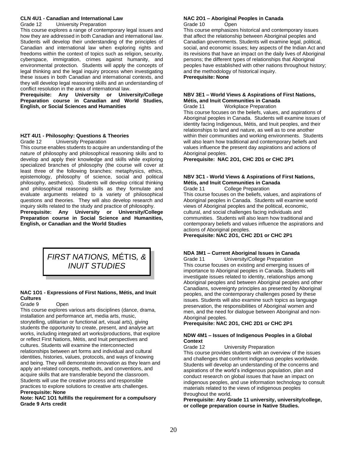#### **CLN 4U1 - Canadian and International Law** Grade 12 University Preparation

This course explores a range of contemporary legal issues and how they are addressed in both Canadian and international law. Students will develop their understanding of the principles of Canadian and international law when exploring rights and freedoms within the context of topics such as religion, security, cyberspace, immigration, crimes against humanity, and environmental protection. Students will apply the concepts of legal thinking and the legal inquiry process when investigating these issues in both Canadian and international contexts, and they will develop legal reasoning skills and an understanding of conflict resolution in the area of international law.

**Prerequisite: Any University or University/College Preparation course in Canadian and World Studies, English, or Social Sciences and Humanities**

# **HZT 4U1 - Philosophy: Questions & Theories**

Grade 12 University Preparation

This course enables students to acquire an understanding of the nature of philosophy and philosophical reasoning skills and to develop and apply their knowledge and skills while exploring specialized branches of philosophy (the course will cover at least three of the following branches: metaphysics, ethics, epistemology, philosophy of science, social and political philosophy, aesthetics). Students will develop critical thinking and philosophical reasoning skills as they formulate and evaluate arguments related to a variety of philosophical questions and theories. They will also develop research and inquiry skills related to the study and practice of philosophy.

**Prerequisite: Any University or University/College Preparation course in Social Science and Humanities, English, or Canadian and the World Studies**



# **NAC 1O1 - Expressions of First Nations, Métis, and Inuit Cultures**

# Grade 9 Open

This course explores various arts disciplines (dance, drama, installation and performance art, media arts, music, storytelling, utilitarian or functional art, visual arts), giving students the opportunity to create, present, and analyse art works, including integrated art works/productions, that explore or reflect First Nations, Métis, and Inuit perspectives and cultures. Students will examine the interconnected relationships between art forms and individual and cultural identities, histories, values, protocols, and ways of knowing and being. They will demonstrate innovation as they learn and apply art-related concepts, methods, and conventions, and acquire skills that are transferable beyond the classroom. Students will use the creative process and responsible practices to explore solutions to creative arts challenges. **Prerequisite: None**

# **Note: NAC 1O1 fulfills the requirement for a compulsory Grade 9 Arts credit**

#### **NAC 2O1 – Aboriginal Peoples in Canada** Grade 10 Open

This course emphasizes historical and contemporary issues that affect the relationship between Aboriginal peoples and Canadian governments. Students will examine legal, political, social, and economic issues; key aspects of the Indian Act and its revisions that have an impact on the daily lives of Aboriginal persons; the different types of relationships that Aboriginal peoples have established with other nations throughout history; and the methodology of historical inquiry.

**Prerequisite: None**

# **NBV 3E1 – World Views & Aspirations of First Nations, Métis, and Inuit Communities in Canada**

Grade 11 Workplace Preparation This course focuses on the beliefs, values, and aspirations of Aboriginal peoples in Canada. Students will examine issues of identity facing Indigenous, Métis, and Inuit peoples, and their relationships to land and nature, as well as to one another within their communities and working environments. Students will also learn how traditional and contemporary beliefs and values influence the present day aspirations and actions of Aboriginal peoples.

**Prerequisite: NAC 2O1, CHC 2D1 or CHC 2P1**

# **NBV 3C1 - World Views & Aspirations of First Nations, Métis, and Inuit Communities in Canada**

Grade 11 College Preparation This course focuses on the beliefs, values, and aspirations of Aboriginal peoples in Canada. Students will examine world views of Aboriginal peoples and the political, economic, cultural, and social challenges facing individuals and communities. Students will also learn how traditional and contemporary beliefs and values influence the aspirations and actions of Aboriginal peoples.

**Prerequisite: NAC 2O1, CHC 2D1 or CHC 2P1**

# **NDA 3M1 – Current Aboriginal Issues in Canada**

Grade 11 University/College Preparation This course focuses on existing and emerging issues of importance to Aboriginal peoples in Canada. Students will investigate issues related to identity, relationships among Aboriginal peoples and between Aboriginal peoples and other Canadians, sovereignty principles as presented by Aboriginal peoples, and the contemporary challenges posed by these issues. Students will also examine such topics as language preservation, the responsibilities of Aboriginal women and men, and the need for dialogue between Aboriginal and non-Aboriginal peoples.

# **Prerequisite: NAC 2O1, CHC 2D1 or CHC 2P1**

# **NDW 4M1 – Issues of Indigenous Peoples in a Global Context**

Grade 12 University Preparation This course provides students with an overview of the issues and challenges that confront indigenous peoples worldwide. Students will develop an understanding of the concerns and aspirations of the world's indigenous population, plan and conduct research on global issues that have an impact on indigenous peoples, and use information technology to consult materials related to the views of indigenous peoples throughout the world.

**Prerequisite: Any Grade 11 university, university/college, or college preparation course in Native Studies.**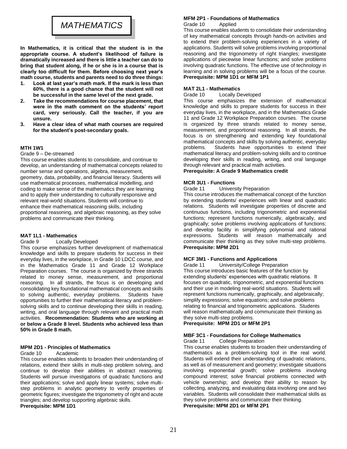# *MATHEMATICS*

**In Mathematics, it is critical that the student is in the appropriate course. A student's likelihood of failure is dramatically increased and there is little a teacher can do to bring that student along, if he or she is in a course that is clearly too difficult for them. Before choosing next year's math course, students and parents need to do three things:**

- **1. Look at last year's math mark. If the mark is less than 60%, there is a good chance that the student will not be successful in the same level of the next grade.**
- **2. Take the recommendations for course placement, that were in the math comment on the students' report card, very seriously. Call the teacher, if you are unsure.**
- **3. Have a clear idea of what math courses are required for the student's post-secondary goals.**

# **MTH 1W1**

#### Grade 9 – De-streamed

This course enables students to consolidate, and continue to develop, an understanding of mathematical concepts related to number sense and operations, algebra, measurement, geometry, data, probability, and financial literacy. Students will use mathematical processes, mathematical modelling, and coding to make sense of the mathematics they are learning and to apply their understanding to culturally responsive and relevant real-world situations. Students will continue to enhance their mathematical reasoning skills, including proportional reasoning, and algebraic reasoning, as they solve problems and communicate their thinking.

#### **MAT 1L1 - Mathematics**

Grade 9 Locally Developed

This course emphasizes further development of mathematical knowledge and skills to prepare students for success in their everyday lives, in the workplace, in Grade 10 LDCC course, and in the Mathematics Grade 11 and Grade 12 Workplace Preparation courses. The course is organized by three strands related to money sense, measurement, and proportional reasoning. In all strands, the focus is on developing and consolidating key foundational mathematical concepts and skills to solving authentic, everyday problems. Students have opportunities to further their mathematical literacy and problemsolving skills and to continue developing their skills in reading, writing, and oral language through relevant and practical math activities. **Recommendation: Students who are working at or below a Grade 8 level. Students who achieved less than 50% in Grade 8 math.**

#### **MPM 2D1 - Principles of Mathematics**

#### Grade 10 Academic

This course enables students to broaden their understanding of relations, extend their skills in multi-step problem solving, and continue to develop their abilities in abstract reasoning. Students will pursue investigations of quadratic functions and their applications; solve and apply linear systems; solve multistep problems in analytic geometry to verify properties of geometric figures; investigate the trigonometry of right and acute triangles; and develop supporting algebraic skills.

**Prerequisite: MPM 1D1**

# **MFM 2P1 - Foundations of Mathematics**

Grade 10 Applied

This course enables students to consolidate their understanding of key mathematical concepts through hands-on activities and to extend their problem-solving experiences in a variety of applications. Students will solve problems involving proportional reasoning and the trigonometry of right triangles; investigate applications of piecewise linear functions; and solve problems involving quadratic functions. The effective use of technology in learning and in solving problems will be a focus of the course. **Prerequisite: MPM 1D1 or MFM 1P1**

#### **MAT 2L1 - Mathematics**

Grade 10 Locally Developed

This course emphasizes the extension of mathematical knowledge and skills to prepare students for success in their everyday lives, in the workplace, and in the Mathematics Grade 11 and Grade 12 Workplace Preparation courses. The course is organized by three strands related to money sense, measurement, and proportional reasoning. In all strands, the focus is on strengthening and extending key foundational mathematical concepts and skills by solving authentic, everyday problems. Students have opportunities to extend their mathematical literacy and problem-solving skills and to continue developing their skills in reading, writing, and oral language through relevant and practical math activities.

#### **Prerequisite: A Grade 9 Mathematics credit**

#### **MCR 3U1 - Functions**

Grade 11 University Preparation

This course introduces the mathematical concept of the function by extending students/ experiences with linear and quadratic relations. Students will investigate properties of discrete and continuous functions, including trigonometric and exponential functions; represent functions numerically, algebraically, and graphically; solve problems involving applications of functions; and develop facility in simplifying polynomial and rational expressions. Students will reason mathematically and communicate their thinking as they solve multi-step problems. **Prerequisite: MPM 2D1**

#### **MCF 3M1 - Functions and Applications**

Grade 11 University/College Preparation This course introduces basic features of the function by extending students' experiences with quadratic relations. It focuses on quadratic, trigonometric, and exponential functions and their use in modeling real-world situations. Students will represent functions numerically, graphically, and algebraically; simplify expressions; solve equations; and solve problems relating to financial and trigonometric applications. Students will reason mathematically and communicate their thinking as they solve multi-step problems.

**Prerequisite: MPM 2D1 or MFM 2P1**

# **MBF 3C1 - Foundations for College Mathematics**

Grade 11 College Preparation

This course enables students to broaden their understanding of mathematics as a problem-solving tool in the real world. Students will extend their understanding of quadratic relations, as well as of measurement and geometry; investigate situations involving exponential growth; solve problems involving compound interest; solve financial problems connected with vehicle ownership; and develop their ability to reason by collecting, analyzing, and evaluating data involving one and two variables. Students will consolidate their mathematical skills as they solve problems and communicate their thinking.

**Prerequisite: MPM 2D1 or MFM 2P1**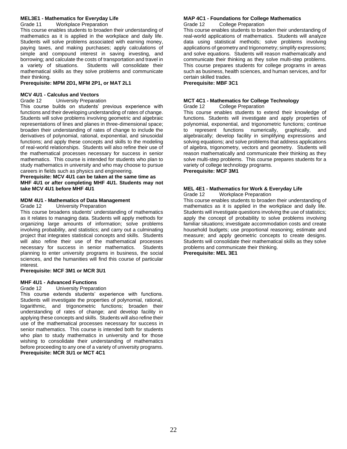#### **MEL3E1 - Mathematics for Everyday Life** Grade 11 Workplace Preparation

This course enables students to broaden their understanding of mathematics as it is applied in the workplace and daily life. Students will solve problems associated with earning money, paying taxes, and making purchases; apply calculations of simple and compound interest in saving investing, and borrowing; and calculate the costs of transportation and travel in<br>a variety of situations. Students will consolidate their Students will consolidate their mathematical skills as they solve problems and communicate their thinking.

## **Prerequisite: MPM 2D1, MFM 2P1, or MAT 2L1**

# **MCV 4U1 - Calculus and Vectors**

Grade 12 University Preparation

This course builds on students' previous experience with functions and their developing understanding of rates of change. Students will solve problems involving geometric and algebraic representations of lines and planes in three-dimensional space; broaden their understanding of rates of change to include the derivatives of polynomial, rational, exponential, and sinusoidal functions; and apply these concepts and skills to the modeling of real-world relationships. Students will also refine their use of the mathematical processes necessary for success in senior mathematics. This course is intended for students who plan to study mathematics in university and who may choose to pursue careers in fields such as physics and engineering.

**Prerequisite: MCV 4U1 can be taken at the same time as MHF 4U1 or after completing MHF 4U1. Students may not take MCV 4U1 before MHF 4U1**

# **MDM 4U1 - Mathematics of Data Management**

Grade 12 University Preparation

This course broadens students' understanding of mathematics as it relates to managing data. Students will apply methods for organizing large amounts of information; solve problems involving probability, and statistics; and carry out a culminating project that integrates statistical concepts and skills. Students will also refine their use of the mathematical processes necessary for success in senior mathematics. Students planning to enter university programs in business, the social sciences, and the humanities will find this course of particular interest.

**Prerequisite: MCF 3M1 or MCR 3U1**

#### **MHF 4U1 - Advanced Functions**

Grade 12 University Preparation

This course extends students' experience with functions. Students will investigate the properties of polynomial, rational, logarithmic, and trigonometric functions; broaden their understanding of rates of change; and develop facility in applying these concepts and skills. Students will also refine their use of the mathematical processes necessary for success in senior mathematics. This course is intended both for students who plan to study mathematics in university and for those wishing to consolidate their understanding of mathematics before proceeding to any one of a variety of university programs. **Prerequisite: MCR 3U1 or MCT 4C1**

# **MAP 4C1 - Foundations for College Mathematics**

Grade 12 College Preparation

This course enables students to broaden their understanding of real-world applications of mathematics. Students will analyze data using statistical methods; solve problems involving applications of geometry and trigonometry; simplify expressions; and solve equations. Students will reason mathematically and communicate their thinking as they solve multi-step problems. This course prepares students for college programs in areas such as business, health sciences, and human services, and for certain skilled trades.

**Prerequisite: MBF 3C1**

### **MCT 4C1 - Mathematics for College Technology**

Grade 12 College Preparation

This course enables students to extend their knowledge of functions. Students will investigate and apply properties of polynomial, exponential, and trigonometric functions; continue to represent functions numerically, graphically, and algebraically; develop facility in simplifying expressions and solving equations; and solve problems that address applications of algebra, trigonometry, vectors and geometry. Students will reason mathematically and communicate their thinking as they solve multi-step problems. This course prepares students for a variety of college technology programs.

**Prerequisite: MCF 3M1**

# **MEL 4E1 - Mathematics for Work & Everyday Life**

Grade 12 Workplace Preparation

This course enables students to broaden their understanding of mathematics as it is applied in the workplace and daily life. Students will investigate questions involving the use of statistics; apply the concept of probability to solve problems involving familiar situations; investigate accommodation costs and create household budgets; use proportional reasoning; estimate and measure; and apply geometric concepts to create designs. Students will consolidate their mathematical skills as they solve problems and communicate their thinking. **Prerequisite: MEL 3E1**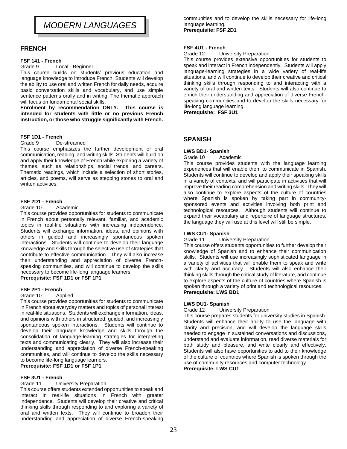# *MODERN LANGUAGES*

# **FRENCH**

## **FSF 141 - French**

Grade 9 Local - Beginner

This course builds on students' previous education and language knowledge to introduce French. Students will develop the ability to use oral and written French for daily needs, acquire basic conversation skills and vocabulary, and use simple sentence patterns orally and in writing. The thematic approach will focus on fundamental social skills.

**Enrolment by recommendation ONLY. This course is intended for students with little or no previous French instruction, or those who struggle significantly with French.** 

# **FSF 1D1 - French**

Grade 9 De-streamed

This course emphasizes the further development of oral communication, reading, and writing skills. Students will build on and apply their knowledge of French while exploring a variety of themes, such as relationships, social trends, and careers. Thematic readings, which include a selection of short stories, articles, and poems, will serve as stepping stones to oral and written activities.

# **FSF 2D1 - French**

#### Grade 10 Academic

This course provides opportunities for students to communicate in French about personally relevant, familiar, and academic topics in real-life situations with increasing independence. Students will exchange information, ideas, and opinions with others in guided and increasingly spontaneous spoken interactions. Students will continue to develop their language knowledge and skills through the selective use of strategies that contribute to effective communication. They will also increase their understanding and appreciation of diverse Frenchspeaking communities, and will continue to develop the skills necessary to become life-long language learners.

**Prerequisite: FSF 1D1 or FSF 1P1**

# **FSF 2P1 - French**

Grade 10 Applied

This course provides opportunities for students to communicate in French about everyday matters and topics of personal interest in real-life situations. Students will exchange information, ideas, and opinions with others in structured, guided, and increasingly spontaneous spoken interactions. Students will continue to develop their language knowledge and skills through the consolidation of language-learning strategies for interpreting texts and communicating clearly. They will also increase their understanding and appreciation of diverse French-speaking communities, and will continue to develop the skills necessary to become life-long language learners. **Prerequisite: FSF 1D1 or FSF 1P1**

#### **FSF 3U1 - French** Grade 11 University Preparation

This course offers students extended opportunities to speak and interact in real-life situations in French with greater independence. Students will develop their creative and critical thinking skills through responding to and exploring a variety of oral and written texts. They will continue to broaden their understanding and appreciation of diverse French-speaking communities and to develop the skills necessary for life-long language learning. **Prerequisite: FSF 2D1**

# **FSF 4U1 - French**

Grade 12 University Preparation

This course provides extensive opportunities for students to speak and interact in French independently. Students will apply language-learning strategies in a wide variety of real-life situations, and will continue to develop their creative and critical thinking skills through responding to and interacting with a variety of oral and written texts. Students will also continue to enrich their understanding and appreciation of diverse Frenchspeaking communities and to develop the skills necessary for life-long language learning.

**Prerequisite: FSF 3U1**

# **SPANISH**

#### **LWS BD1- Spanish**

Grade 10 Academic

This course provides students with the language learning experiences that will enable them to communicate in Spanish. Students will continue to develop and apply their speaking skills in a variety of contexts, and will participate in activities that will improve their reading comprehension and writing skills. They will also continue to explore aspects of the culture of countries where Spanish is spoken by taking part in communitysponsored events and activities involving both print and technological resources. Although students will continue to expand their vocabulary and repertoire of language structures, the language they will use at this level will still be simple.

# **LWS CU1- Spanish**

Grade 11 University Preparation

This course offers students opportunities to further develop their knowledge of Spanish and to enhance their communication skills. Students will use increasingly sophisticated language in a variety of activities that will enable them to speak and write with clarity and accuracy. Students will also enhance their thinking skills through the critical study of literature, and continue to explore aspects of the culture of countries where Spanish is spoken through a variety of print and technological resources. **Prerequisite: LWS BD1**

#### **LWS DU1- Spanish**

Grade 12 University Preparation

This course prepares students for university studies in Spanish. Students will enhance their ability to use the language with clarity and precision, and will develop the language skills needed to engage in sustained conversations and discussions, understand and evaluate information, read diverse materials for both study and pleasure, and write clearly and effectively. Students will also have opportunities to add to their knowledge of the culture of countries where Spanish is spoken through the use of community resources and computer technology.

**Prerequisite: LWS CU1**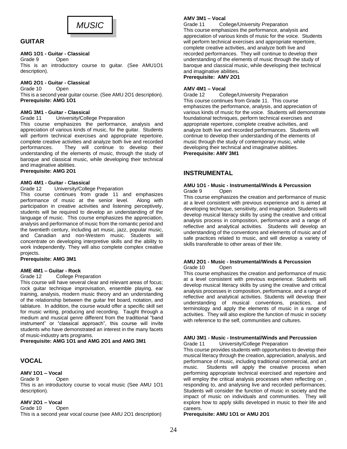# *MUSIC*

# **GUITAR**

# **AMG 1O1 - Guitar - Classical**

Grade 9 Open This is an introductory course to guitar. (See AMU1O1 description).

# **AMG 2O1 - Guitar - Classical**

Grade 10 Open

This is a second year guitar course. (See AMU 2O1 description). **Prerequisite: AMG 1O1**

# **AMG 3M1 - Guitar - Classical**

#### Grade 11 University/College Preparation

This course emphasizes the performance, analysis and appreciation of various kinds of music, for the guitar. Students will perform technical exercises and appropriate repertoire, complete creative activities and analyze both live and recorded performances. They will continue to develop their understanding of the elements of music, through the study of baroque and classical music, while developing their technical and imaginative abilities.

# **Prerequisite: AMG 2O1**

#### **AMG 4M1 - Guitar - Classical**

#### Grade 12 University/College Preparation

This course continues from grade 11 and emphasizes performance of music at the senior level. Along with participation in creative activities and listening perceptively, students will be required to develop an understanding of the language of music. This course emphasizes the appreciation, analysis and performance of music from the romantic period and the twentieth century, including art music, jazz, popular music, and Canadian and non-Western music. Students will concentrate on developing interpretive skills and the ability to work independently. They will also complete complex creative projects.

**Prerequisite: AMG 3M1**

# **AME 4M1 – Guitar - Rock**

#### Grade 12 College Preparation

This course will have several clear and relevant areas of focus; rock guitar technique improvisation, ensemble playing, ear training, analysis, modern music theory and an understanding of the relationship between the guitar fret board, notation, and tablature. In addition, the course would offer a specific skill set for music writing, producing and recording. Taught through a medium and musical genre different from the traditional "band instrument" or "classical approach", this course will invite students who have demonstrated an interest in the many facets of music-industry arts programs.

**Prerequisite: AMG 1O1 and AMG 2O1 and AMG 3M1**

# **VOCAL**

# **AMV 1O1 – Vocal**

Grade 9 Open This is an introductory course to vocal music (See AMU 1O1 description).

# **AMV 2O1 – Vocal**

Grade 10 Open

This is a second year vocal course (see AMU 2O1 description)

# **AMV 3M1 – Vocal**

Grade 11 College/University Preparation This course emphasizes the performance, analysis and appreciation of various kinds of music for the voice. Students will perform technical exercises and appropriate repertoire, complete creative activities, and analyze both live and recorded performances. They will continue to develop their understanding of the elements of music through the study of baroque and classical music, while developing their technical and imaginative abilities**.**

**Prerequisite: AMV 2O1**

## **AMV 4M1 – Vocal**

Grade 12 College/University Preparation This course continues from Grade 11. This course emphasizes the performance, analysis, and appreciation of various kinds of music for the voice. Students will demonstrate foundational techniques, perform technical exercises and appropriate repertoire, complete creative activities, and analyze both live and recorded performances. Students will continue to develop their understanding of the elements of music through the study of contemporary music, while developing their technical and imaginative abilities. **Prerequisite: AMV 3M1**

# **INSTRUMENTAL**

#### **AMU 1O1 - Music - Instrumental/Winds & Percussion** Grade 9 Open

This course emphasizes the creation and performance of music at a level consistent with previous experience and is aimed at developing technique, sensitivity, and imagination. Students will develop musical literacy skills by using the creative and critical analysis process in composition, performance and a range of reflective and analytical activities. Students will develop an understanding of the conventions and elements of music and of safe practices related to music, and will develop a variety of skills transferable to other areas of their life.

## **AMU 2O1 - Music - Instrumental/Winds & Percussion** Grade 10 Open

This course emphasizes the creation and performance of music at a level consistent with previous experience. Students will develop musical literacy skills by using the creative and critical analysis processes in composition, performance, and a range of reflective and analytical activities. Students will develop their understanding of musical conventions, practices, and terminology and apply the elements of music in a range of activities. They will also explore the function of music in society with reference to the self, communities and cultures.

# **AMU 3M1 - Music - Instrumental/Winds and Percussion**

Grade 11 University/College Preparation

This course provides students with opportunities to develop their musical literacy through the creation, appreciation, analysis, and performance of music, including traditional commercial, and art music. Students will apply the creative process when performing appropriate technical exercised and repertoire and will employ the critical analysis processes when reflecting on , responding to, and analysing live and recorded performances. Students will consider the function of music in society and the impact of music on individuals and communities. They will explore how to apply skills developed in music to their life and careers.

#### **Prerequisite: AMU 1O1 or AMU 2O1**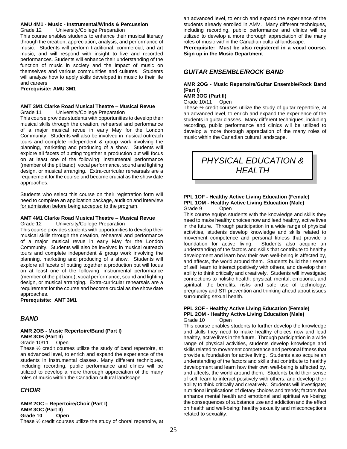#### **AMU 4M1 - Music - Instrumental/Winds & Percussion**

Grade 12 University/College Preparation

This course enables students to enhance their musical literacy through the creation, appreciation, analysis, and performance of music. Students will perform traditional, commercial, and art music, and will respond with insight to live and recorded performances. Students will enhance their understanding of the function of music in society and the impact of music on themselves and various communities and cultures. Students will analyze how to apply skills developed in music to their life and careers

#### **Prerequisite: AMU 3M1**

#### **AMT 3M1 Clarke Road Musical Theatre – Musical Revue** Grade 11 University/College Preparation

This course provides students with opportunities to develop their musical skills through the creation, rehearsal and performance of a major musical revue in early May for the London Community. Students will also be involved in musical outreach tours and complete independent & group work involving the planning, marketing and producing of a show. Students will explore all facets of putting together a production but will focus on at least one of the following: instrumental performance (member of the pit band), vocal performance, sound and lighting design, or musical arranging. Extra-curricular rehearsals are a requirement for the course and become crucial as the show date approaches.

Students who select this course on their registration form will need to complete an application package, audition and interview for admission before being accepted to the program.

#### **AMT 4M1 Clarke Road Musical Theatre – Musical Revue**

Grade 12 University/College Preparation

This course provides students with opportunities to develop their musical skills through the creation, rehearsal and performance of a major musical revue in early May for the London Community. Students will also be involved in musical outreach tours and complete independent & group work involving the planning, marketing and producing of a show. Students will explore all facets of putting together a production but will focus on at least one of the following: instrumental performance (member of the pit band), vocal performance, sound and lighting design, or musical arranging. Extra-curricular rehearsals are a requirement for the course and become crucial as the show date approaches.

**Prerequisite: AMT 3M1**

# *BAND*

# **AMR 2OB - Music Repertoire/Band (Part I) AMR 3OB (Part II**)

Grade 10/11 Open

These ½ credit courses utilize the study of band repertoire, at an advanced level, to enrich and expand the experience of the students in instrumental classes. Many different techniques, including recording, public performance and clinics will be utilized to develop a more thorough appreciation of the many roles of music within the Canadian cultural landscape.

# *CHOIR*

**AMR 2OC – Repertoire/Choir (Part I) AMR 3OC (Part II) Grade 10 Open** These ½ credit courses utilize the study of choral repertoire, at an advanced level, to enrich and expand the experience of the students already enrolled in AMV. Many different techniques, including recording, public performance and clinics will be utilized to develop a more thorough appreciation of the many roles of music within the Canadian cultural landscape.

**Prerequisite: Must be also registered in a vocal course. Sign up in the Music Department**

# *GUITAR ENSEMBLE/ROCK BAND*

#### **AMR 2OG - Music Repertoire/Guitar Ensemble/Rock Band (Part I)**

# **AMR 3OG (Part II)**

Grade 10/11 Open

These ½ credit courses utilize the study of guitar repertoire, at an advanced level, to enrich and expand the experience of the students in guitar classes. Many different techniques, including recording, public performance and clinics will be utilized to develop a more thorough appreciation of the many roles of music within the Canadian cultural landscape.



#### **PPL 1OF - Healthy Active Living Education (Female) PPL 1OM - Healthy Active Living Education (Male)** Grade 9 Open

This course equips students with the knowledge and skills they need to make healthy choices now and lead healthy, active lives in the future. Through participation in a wide range of physical activities, students develop knowledge and skills related to movement competence and personal fitness that provide a foundation for active living. Students also acquire an understanding of the factors and skills that contribute to healthy development and learn how their own well-being is affected by, and affects, the world around them. Students build their sense of self, learn to interact positively with others, and develop their ability to think critically and creatively. Students will investigate; connections to holistic health: physical, mental, emotional, and spiritual; the benefits, risks and safe use of technology; pregnancy and STI prevention and thinking ahead about issues surrounding sexual health.

#### **PPL 2OF - Healthy Active Living Education (Female) PPL 2OM - Healthy Active Living Education (Male)** Grade 10 Open

This course enables students to further develop the knowledge and skills they need to make healthy choices now and lead healthy, active lives in the future. Through participation in a wide range of physical activities, students develop knowledge and skills related to movement competence and personal fitness that provide a foundation for active living. Students also acquire an understanding of the factors and skills that contribute to healthy development and learn how their own well-being is affected by, and affects, the world around them. Students build their sense of self, learn to interact positively with others, and develop their ability to think critically and creatively. Students will investigate; nutritional implications of dietary choices and trends; factors that enhance mental health and emotional and spiritual well-being; the consequences of substance use and addiction and the effect on health and well-being; healthy sexuality and misconceptions related to sexuality.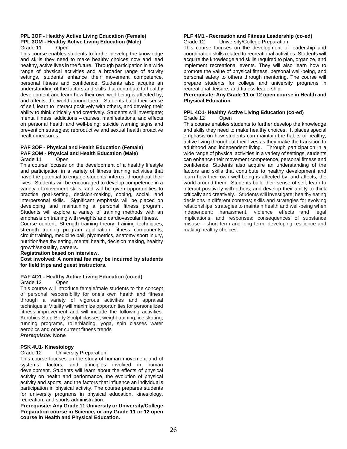#### **PPL 3OF - Healthy Active Living Education (Female) PPL 3OM - Healthy Active Living Education (Male)** Grade 11 Open

This course enables students to further develop the knowledge and skills they need to make healthy choices now and lead healthy, active lives in the future. Through participation in a wide range of physical activities and a broader range of activity settings, students enhance their movement competence, personal fitness and confidence. Students also acquire an understanding of the factors and skills that contribute to healthy development and learn how their own well-being is affected by, and affects, the world around them. Students build their sense of self, learn to interact positively with others, and develop their ability to think critically and creatively. Students will investigate; mental illness, addictions – causes, manifestations, and effects on personal health and well-being; suicide warning signs and prevention strategies; reproductive and sexual health proactive health measures.

# **PAF 3OF - Physical and Health Education (Female) PAF 3OM - Physical and Health Education (Male)**

Grade 11 Open

This course focuses on the development of a healthy lifestyle and participation in a variety of fitness training activities that have the potential to engage students' interest throughout their lives. Students will be encouraged to develop competence in a variety of movement skills, and will be given opportunities to practice goal-setting, decision-making, coping, social, and interpersonal skills. Significant emphasis will be placed on developing and maintaining a personal fitness program. Students will explore a variety of training methods with an emphasis on training with weights and cardiovascular fitness.

Course content: Strength training theory, training techniques, strength training program application, fitness components, circuit training, medicine ball, plyometrics, anatomy sport injury, nutrition/healthy eating, mental health, decision making, healthy growth/sexuality, careers.

#### **Registration based on interview.**

**Cost involved: A nominal fee may be incurred by students for field trips and guest instructors.**

# **PAF 4O1 - Healthy Active Living Education (co-ed)**

Grade 12 Open

This course will introduce female/male students to the concept of personal responsibility for one's own health and fitness through a variety of vigorous activities and appraisal technique's. Vitality will maximize opportunities for personalized fitness improvement and will include the following activities: Aerobics-Step-Body Sculpt classes, weight training, ice skating, running programs, rollerblading, yoga, spin classes water aerobics and other current fitness trends

# *Prerequisite:* **None**

# **PSK 4U1- Kinesiology**

Grade 12 University Preparation

This course focuses on the study of human movement and of systems, factors, and principles involved in human development. Students will learn about the effects of physical activity on health and performance, the evolution of physical activity and sports, and the factors that influence an individual's participation in physical activity. The course prepares students for university programs in physical education, kinesiology, recreation, and sports administration.

**Prerequisite: Any Grade 11 University or University/College Preparation course in Science, or any Grade 11 or 12 open course in Health and Physical Education.**

#### **PLF 4M1 - Recreation and Fitness Leadership (co-ed)** Grade 12 University/College Preparation

This course focuses on the development of leadership and coordination skills related to recreational activities. Students will acquire the knowledge and skills required to plan, organize, and implement recreational events. They will also learn how to promote the value of physical fitness, personal well-being, and personal safety to others through mentoring. The course will prepare students for college and university programs in recreational, leisure, and fitness leadership.

#### **Prerequisite: Any Grade 11 or 12 open course in Health and Physical Education**

#### **PPL 4O1- Healthy Active Living Education (co-ed)** Grade 12 Open

This course enables students to further develop the knowledge and skills they need to make healthy choices. It places special emphasis on how students can maintain the habits of healthy, active living throughout their lives as they make the transition to adulthood and independent living. Through participation in a wide range of physical activities in a variety of settings, students can enhance their movement competence, personal fitness and confidence. Students also acquire an understanding of the factors and skills that contribute to healthy development and learn how their own well-being is affected by, and affects, the world around them. Students build their sense of self, learn to interact positively with others, and develop their ability to think critically and creatively. Students will investigate; healthy eating decisions in different contexts; skills and strategies for evolving relationships; strategies to maintain health and well-being when independent; harassment, violence effects and legal implications, and responses; consequences of substance misuse – short term and long term; developing resilience and making healthy choices.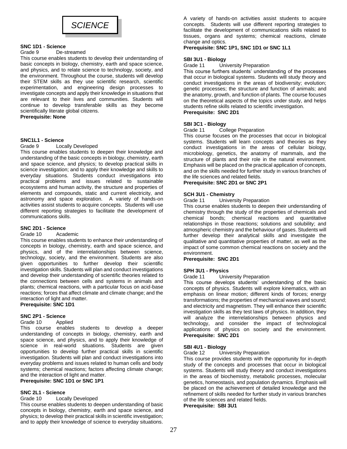

# **SNC 1D1 - Science**

#### Grade 9 De-streamed

This course enables students to develop their understanding of basic concepts in biology, chemistry, earth and space science, and physics, and to relate science to technology, society, and the environment. Throughout the course, students will develop their STEM skills as they use scientific research, scientific experimentation, and engineering design processes to investigate concepts and apply their knowledge in situations that are relevant to their lives and communities. Students will continue to develop transferable skills as they become scientifically literate global citizens. **Prerequisite: None**

# **SNC1L1 - Science**

#### Grade 9 Locally Developed

This course enables students to deepen their knowledge and understanding of the basic concepts in biology, chemistry, earth and space science, and physics; to develop practical skills in science investigation; and to apply their knowledge and skills to everyday situations. Students conduct investigations into practical problems and issues related to sustainable ecosystems and human activity, the structure and properties of elements and compounds, static and current electricity, and astronomy and space exploration. A variety of hands-on activities assist students to acquire concepts. Students will use different reporting strategies to facilitate the development of communications skills.

#### **SNC 2D1 - Science**

#### Grade 10 Academic

This course enables students to enhance their understanding of concepts in biology, chemistry, earth and space science, and physics, and of the interrelationships between science, technology, society, and the environment. Students are also given opportunities to further develop their scientific investigation skills. Students will plan and conduct investigations and develop their understanding of scientific theories related to the connections between cells and systems in animals and plants; chemical reactions, with a particular focus on acid-base reactions; forces that affect climate and climate change; and the interaction of light and matter.

**Prerequisite: SNC 1D1**

# **SNC 2P1 - Science**

#### Grade 10 Applied

This course enables students to develop a deeper understanding of concepts in biology, chemistry, earth and space science, and physics, and to apply their knowledge of science in real-world situations. Students are given opportunities to develop further practical skills in scientific investigation. Students will plan and conduct investigations into everyday problems and issues related to human cells and body systems; chemical reactions; factors affecting climate change; and the interaction of light and matter.

# **Prerequisite: SNC 1D1 or SNC 1P1**

# **SNC 2L1 - Science**

# Grade 10 Locally Developed

This course enables students to deepen understanding of basic concepts in biology, chemistry, earth and space science, and physics; to develop their practical skills in scientific investigation; and to apply their knowledge of science to everyday situations. A variety of hands-on activities assist students to acquire concepts. Students will use different reporting strategies to facilitate the development of communications skills related to tissues, organs and systems; chemical reactions, climate change and optics.

## **Prerequisite: SNC 1P1, SNC 1D1 or SNC 1L1**

#### **SBI 3U1 - Biology**

Grade 11 University Preparation

This course furthers students' understanding of the processes that occur in biological systems. Students will study theory and conduct investigations in the areas of biodiversity; evolution; genetic processes; the structure and function of animals; and the anatomy, growth, and function of plants. The course focuses on the theoretical aspects of the topics under study, and helps students refine skills related to scientific investigation. **Prerequisite: SNC 2D1**

# **SBI 3C1 - Biology**

#### Grade 11 College Preparation

This course focuses on the processes that occur in biological systems. Students will learn concepts and theories as they conduct investigations in the areas of cellular biology, microbiology, genetics, the anatomy of mammals, and the structure of plants and their role in the natural environment. Emphasis will be placed on the practical application of concepts, and on the skills needed for further study in various branches of the life sciences and related fields.

# **Prerequisite: SNC 2D1 or SNC 2P1**

#### **SCH 3U1 - Chemistry**

Grade 11 University Preparation

This course enables students to deepen their understanding of chemistry through the study of the properties of chemicals and chemical bonds; chemical reactions and quantitative relationships in those reactions; solutions and solubility; and atmospheric chemistry and the behaviour of gases. Students will further develop their analytical skills and investigate the qualitative and quantitative properties of matter, as well as the impact of some common chemical reactions on society and the environment.

#### **Prerequisite: SNC 2D1**

#### **SPH 3U1 - Physics**

#### Grade 11 University Preparation

This course develops students' understanding of the basic concepts of physics. Students will explore kinematics, with an emphasis on linear motion; different kinds of forces; energy transformations; the properties of mechanical waves and sound; and electricity and magnetism. They will enhance their scientific investigation skills as they test laws of physics. In addition, they will analyze the interrelationships between physics and technology, and consider the impact of technological applications of physics on society and the environment. **Prerequisite: SNC 2D1**

# **SBI 4U1 - Biology**

#### Grade 12 University Preparation

This course provides students with the opportunity for in-depth study of the concepts and processes that occur in biological systems. Students will study theory and conduct investigations in the areas of biochemistry, metabolic processes, molecular genetics, homeostasis, and population dynamics. Emphasis will be placed on the achievement of detailed knowledge and the refinement of skills needed for further study in various branches of the life sciences and related fields.

**Prerequisite: SBI 3U1**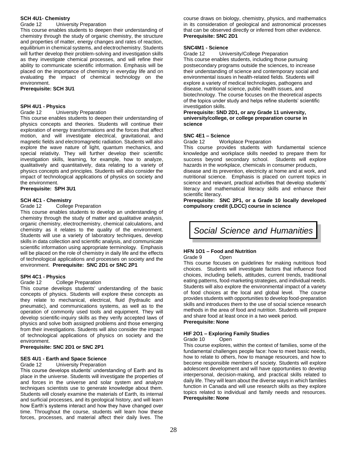# **SCH 4U1- Chemistry**

Grade 12 University Preparation

This course enables students to deepen their understanding of chemistry through the study of organic chemistry, the structure and properties of matter, energy changes and rates of reaction, equilibrium in chemical systems, and electrochemistry. Students will further develop their problem-solving and investigation skills as they investigate chemical processes, and will refine their ability to communicate scientific information. Emphasis will be placed on the importance of chemistry in everyday life and on evaluating the impact of chemical technology on the environment.

**Prerequisite: SCH 3U1**

#### **SPH 4U1 - Physics**

#### Grade 12 University Preparation

This course enables students to deepen their understanding of physics concepts and theories. Students will continue their exploration of energy transformations and the forces that affect motion, and will investigate electrical, gravitational, and magnetic fields and electromagnetic radiation. Students will also explore the wave nature of light, quantum mechanics, and special relativity. They will further develop their scientific investigation skills, learning, for example, how to analyze, qualitatively and quantitatively, data relating to a variety of physics concepts and principles. Students will also consider the impact of technological applications of physics on society and the environment.

**Prerequisite: SPH 3U1**

# **SCH 4C1 - Chemistry**

#### Grade 12 College Preparation

This course enables students to develop an understanding of chemistry through the study of matter and qualitative analysis, organic chemistry, electrochemistry, chemical calculations, and chemistry as it relates to the quality of the environment. Students will use a variety of laboratory techniques, develop skills in data collection and scientific analysis, and communicate scientific information using appropriate terminology. Emphasis will be placed on the role of chemistry in daily life and the effects of technological applications and processes on society and the environment. **Prerequisite: SNC 2D1 or SNC 2P1**

# **SPH 4C1 - Physics**

#### Grade 12 College Preparation

This course develops students' understanding of the basic concepts of physics. Students will explore these concepts as they relate to mechanical, electrical, fluid (hydraulic and pneumatic), and communications systems, as well as to the operation of commonly used tools and equipment. They will develop scientific-inquiry skills as they verify accepted laws of physics and solve both assigned problems and those emerging from their investigations. Students will also consider the impact of technological applications of physics on society and the environment.

**Prerequisite: SNC 2D1 or SNC 2P1**

#### **SES 4U1 - Earth and Space Science**

#### Grade 12 University Preparation

This course develops students' understanding of Earth and its place in the universe. Students will investigate the properties of and forces in the universe and solar system and analyze techniques scientists use to generate knowledge about them. Students will closely examine the materials of Earth, its internal and surficial processes, and its geological history, and will learn how Earth's systems interact and how they have changed over time. Throughout the course, students will learn how these forces, processes, and material affect their daily lives. The course draws on biology, chemistry, physics, and mathematics in its consideration of geological and astronomical processes that can be observed directly or inferred from other evidence. **Prerequisite: SNC 2D1**

# **SNC4M1 - Science**

Grade 12 University/College Preparation This course enables students, including those pursuing postsecondary programs outside the sciences, to increase their understanding of science and contemporary social and environmental issues in health-related fields. Students will explore a variety of medical technologies, pathogens and disease, nutritional science, public health issues, and biotechnology. The course focuses on the theoretical aspects of the topics under study and helps refine students' scientific investigation skills.

**Prerequisite: SND 2D1, or any Grade 11 university, university/college, or college preparation course in science**

#### **SNC 4E1 – Science**

Grade 12 Workplace Preparation

This course provides students with fundamental science knowledge and workplace skills needed to prepare them for success beyond secondary school. Students will explore hazards in the workplace, chemicals in consumer products, disease and its prevention, electricity at home and at work, and nutritional science. Emphasis is placed on current topics in science and relevant, practical activities that develop students'

literacy and mathematical literacy skills and enhance their scientific literacy.

**Prerequisite: SNC 2P1, or a Grade 10 locally developed compulsory credit (LDCC) course in science**



# **HFN 1O1 – Food and Nutrition**

#### Grade 9 Open

This course focuses on guidelines for making nutritious food choices. Students will investigate factors that influence food choices, including beliefs, attitudes, current trends, traditional eating patterns, food-marketing strategies, and individual needs. Students will also explore the environmental impact of a variety of food choices at the local and global level. The course provides students with opportunities to develop food-preparation skills and introduces them to the use of social science research methods in the area of food and nutrition. Students will prepare and share food at least once in a two week period. **Prerequisite: None**

# **HIF 2O1 – Exploring Family Studies**

## Grade 10 Open

This course explores, within the context of families, some of the fundamental challenges people face: how to meet basic needs, how to relate to others, how to manage resources, and how to become responsible members of society. Students will explore adolescent development and will have opportunities to develop interpersonal, decision-making, and practical skills related to daily life. They will learn about the diverse ways in which families function in Canada and will use research skills as they explore topics related to individual and family needs and resources. **Prerequisite: None**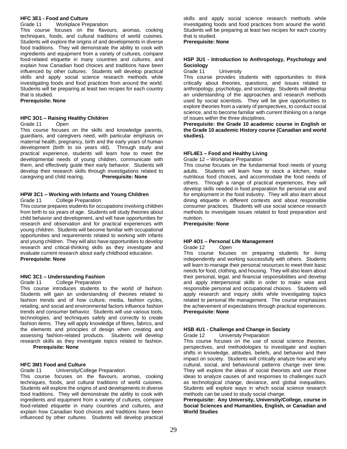# **HFC 3E1 - Food and Culture**

Grade 11 Workplace Preparation

This course focuses on the flavours, aromas, cooking techniques, foods, and cultural traditions of world cuisines. Students will explore the origins of and developments in diverse food traditions. They will demonstrate the ability to cook with ingredients and equipment from a variety of cultures, compare food-related etiquette in many countries and cultures, and explain how Canadian food choices and traditions have been influenced by other cultures. Students will develop practical skills and apply social science research methods while investigating foods and food practices from around the world. Students will be preparing at least two recipes for each country that is studied.

**Prerequisite: None**

#### **HPC 3O1 – Raising Healthy Children**

Grade 11 Open

This course focuses on the skills and knowledge parents, guardians, and caregivers need, with particular emphasis on maternal health, pregnancy, birth and the early years of human development (birth to six years old). Through study and practical experience, students will learn how to meet the developmental needs of young children, communicate with them, and effectively guide their early behavior. Students will develop their research skills through investigations related to caregiving and child rearing. **Prerequisite: None**

# **HPW 3C1 – Working with Infants and Young Children**

Grade 11 College Preparation

This course prepares students for occupations involving children from birth to six years of age. Students will study theories about child behavior and development, and will have opportunities for research and observation and for practical experiences with young children. Students will become familiar with occupational opportunities and requirements related to working with infants and young children. They will also have opportunities to develop research and critical-thinking skills as they investigate and evaluate current research about early childhood education. **Prerequisite: None**

#### **HNC 3C1 – Understanding Fashion**

Grade 11 College Preparation

This course introduces students to the world of fashion. Students will gain an understanding of theories related to fashion trends and of how culture, media, fashion cycles, retailing, and social and environmental factors influence fashion trends and consumer behavior. Students will use various tools, technologies, and techniques safely and correctly to create fashion items. They will apply knowledge of fibres, fabrics, and the elements and principles of design when creating and assessing fashion-related products. Students will develop research skills as they investigate topics related to fashion. **Prerequisite: None**

## **HFC 3M1 Food and Culture**

Grade 11 University/College Preparation

This course focuses on the flavours, aromas, cooking techniques, foods, and cultural traditions of world cuisines. Students will explore the origins of and developments in diverse food traditions. They will demonstrate the ability to cook with ingredients and equipment from a variety of cultures, compare food-related etiquette in many countries and cultures, and explain how Canadian food choices and traditions have been influenced by other cultures. Students will develop practical

skills and apply social science research methods while investigating foods and food practices from around the world. Students will be preparing at least two recipes for each country that is studied.

**Prerequisite: None**

#### **HSP 3U1 - Introduction to Anthropology, Psychology and Sociology**

Grade 11 University

This course provides students with opportunities to think critically about theories, questions, and issues related to anthropology, psychology, and sociology. Students will develop an understanding of the approaches and research methods used by social scientists. They will be give opportunities to explore theories from a variety of perspectives, to conduct social science, and to become familiar with current thinking on a range of issues within the three disciplines.

**Prerequisite: the Grade 10 academic course in English or the Grade 10 academic History course (Canadian and world studies).**

# **HFL4E1 – Food and Healthy Living**

Grade 12 – Workplace Preparation

This course focuses on the fundamental food needs of young adults. Students will learn how to stock a kitchen, make nutritious food choices, and accommodate the food needs of others. Through a range of practical experiences, they will develop skills needed in food preparation for personal use and for employment in the food industry. They will also learn about dining etiquette in different contexts and about responsible consumer practices. Students will use social science research methods to investigate issues related to food preparation and nutrition.

**Prerequisite: None**

#### **HIP 4O1 – Personal Life Management**

Grade 12 Open

This course focuses on preparing students for living independently and working successfully with others. Students will learn to manage their personal resources to meet their basic needs for food, clothing, and housing. They will also learn about their personal, legal, and financial responsibilities and develop and apply interpersonal skills in order to make wise and responsible personal and occupational choices. Students will apply research and inquiry skills while investigating topics related to personal life management. The course emphasizes the achievement of expectations through practical experiences. **Prerequisite: None**

# **HSB 4U1 - Challenge and Change in Society**

Grade 12 University Preparation

This course focuses on the use of social science theories, perspectives, and methodologies to investigate and explain shifts in knowledge, attitudes, beliefs, and behavior and their impact on society. Students will critically analyze how and why cultural, social, and behavioural patterns change over time. They will explore the ideas of social theorists and use those ideas to analyze causes of and responses to challenges such as technological change, deviance, and global inequalities. Students will explore ways in which social science research methods can be used to study social change.

**Prerequisite: Any University, University/College, course in Social Sciences and Humanities, English, or Canadian and World Studies**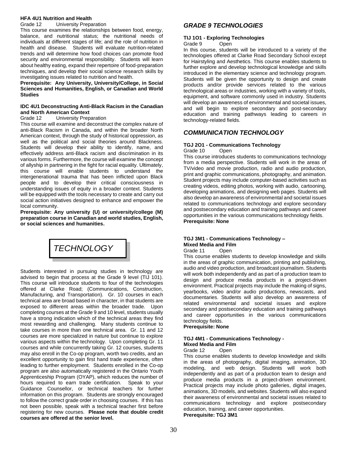# **HFA 4U1 Nutrition and Health**

Grade 12 University Preparation

This course examines the relationships between food, energy, balance, and nutritional status; the nutritional needs of individuals at different stages of life; and the role of nutrition in health and disease. Students will evaluate nutrition-related trends and will determine how food choices can promote food security and environmental responsibility. Students will learn about healthy eating, expand their repertoire of food-preparation techniques, and develop their social science research skills by investigating issues related to nutrition and health.

**Prerequisite: Any University, University/College, in Social Sciences and Humanities, English, or Canadian and World Studies**

#### **IDC 4U1 Deconstructing Anti-Black Racism in the Canadian and North American Context**

#### Grade 12 University Preparation

This course will examine and deconstruct the complex nature of anti-Black Racism in Canada, and within the broader North American context, through the study of historical oppression, as well as the political and social theories around Blackness. Students will develop their ability to identify, name, and effectively address anti-Black racism and discrimination in its various forms. Furthermore, the course will examine the concept of allyship in partnering in the fight for racial equality. Ultimately, this course will enable students to understand the intergenerational trauma that has been inflicted upon Black people and to develop their critical consciousness in understanding issues of equity in a broader context. Students will be equipped with the tools necessary to create and carry out social action initiatives designed to enhance and empower the local community.

**Prerequisite: Any university (U) or university/college (M) preparation course in Canadian and world studies, English, or social sciences and humanities.**

# *TECHNOLOGY*

Students interested in pursuing studies in technology are advised to begin that process at the Grade 9 level (TIJ 101). This course will introduce students to four of the technologies offered at Clarke Road; (Communications, Construction, Manufacturing, and Transportation). Gr. 10 courses in each technical area are broad based in character, in that students are exposed to different areas within the broader trade. Upon completing courses at the Grade 9 and 10 level, students usually have a strong indication which of the technical areas they find most rewarding and challenging. Many students continue to take courses in more than one technical area. Gr. 11 and 12 courses are more specialized in nature but continue to explore various aspects within the technology. Upon completing Gr. 11 courses and while concurrently taking Gr. 12 courses, students may also enroll in the Co-op program, worth two credits, and an excellent opportunity to gain first hand trade experience, often leading to further employment. Students enrolled in the Co-op program are also automatically registered in the Ontario Youth Apprenticeship Program (OYAP), which reduces the number of hours required to earn trade certification. Speak to your Guidance Counsellor, or technical teachers for further information on this program. Students are strongly encouraged to follow the correct grade order in choosing courses. If this has not been possible, speak with a technical teacher first before registering for new courses. **Please note that double credit courses are offered at the senior level.**

# *GRADE 9 TECHNOLOGIES*

#### **TIJ 1O1 - Exploring Technologies** Grade 9 Open

In this course, students will be introduced to a variety of the technologies offered at Clarke Road Secondary School except for Hairstyling and Aesthetics. This course enables students to further explore and develop technological knowledge and skills introduced in the elementary science and technology program. Students will be given the opportunity to design and create products and/or provide services related to the various technological areas or industries, working with a variety of tools, equipment, and software commonly used in industry. Students will develop an awareness of environmental and societal issues, and will begin to explore secondary and post-secondary education and training pathways leading to careers in technology-related fields.

# *COMMUNICATION TECHNOLOGY*

#### **TGJ 2O1 - Communications Technology** Grade 10 Open

This course introduces students to communications technology from a media perspective. Students will work in the areas of TV/video and movie production, radio and audio production, print and graphic communications, photography, and animation. Student projects may include computer-based activities such as creating videos, editing photos, working with audio, cartooning, developing animations, and designing web pages. Students will also develop an awareness of environmental and societal issues related to communications technology and explore secondary and postsecondary education and training pathways and career opportunities in the various communications technology fields. **Prerequisite: None**

# **TGJ 3M1 - Communications Technology – Mixed Media and Film**

Grade 11 Open

This course enables students to develop knowledge and skills in the areas of graphic communication, printing and publishing, audio and video production, and broadcast journalism. Students will work both independently and as part of a production team to design and produce media products in a project-driven environment. Practical projects may include the making of signs, yearbooks, video and/or audio productions, newscasts, and documentaries. Students will also develop an awareness of related environmental and societal issues and explore secondary and postsecondary education and training pathways and career opportunities in the various communications technology fields.

**Prerequisite: None**

# **TGJ 4M1 - Communications Technology - Mixed Media and Film**

# Grade 12 Open

This course enables students to develop knowledge and skills in the areas of photography, digital imaging, animation, 3D modeling, and web design. Students will work both independently and as part of a production team to design and produce media products in a project-driven environment. Practical projects may include photo galleries, digital images, animations, 3D models, and websites. Students will also expand their awareness of environmental and societal issues related to communications technology and explore postsecondary education, training, and career opportunities. **Prerequisite: TGJ 3M1**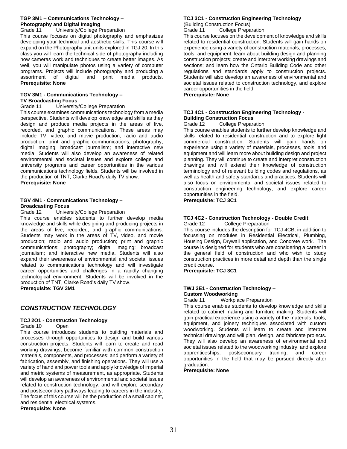# **TGP 3M1 – Communications Technology – Photography and Digital Imaging**

Grade 11 University/College Preparation

This course focuses on digital photography and emphasizes developing your technical and aesthetic skills. This course will expand on the Photography unit units explored in TGJ 20. In this class you will learn the technical side of photography including how cameras work and techniques to create better images. As well, you will manipulate photos using a variety of computer programs. Projects will include photography and producing a assortment of digital and print media products. **Prerequisite: None**

# **TGV 3M1 - Communications Technology – TV Broadcasting Focus**

Grade 11 University/College Preparation

This course examines communications technology from a media perspective. Students will develop knowledge and skills as they design and produce media projects in the areas of live, recorded, and graphic communications. These areas may include TV, video, and movie production; radio and audio production; print and graphic communications; photography; digital imaging; broadcast journalism; and interactive new media. Students will also develop an awareness of related environmental and societal issues and explore college and university programs and career opportunities in the various communications technology fields. Students will be involved in the production of TNT, Clarke Road's daily TV show. **Prerequisite: None**

# **TGV 4M1 - Communications Technology – Broadcasting Focus**

Grade 12 University/College Preparation

This course enables students to further develop media knowledge and skills while designing and producing projects in the areas of live, recorded, and graphic communications. Students may work in the areas of TV, video, and movie production; radio and audio production; print and graphic communications; photography; digital imaging; broadcast journalism; and interactive new media. Students will also expand their awareness of environmental and societal issues related to communications technology and will investigate career opportunities and challenges in a rapidly changing technological environment. Students will be involved in the production of TNT, Clarke Road's daily TV show. **Prerequisite: TGV 3M1**

# *CONSTRUCTION TECHNOLOGY*

# **TCJ 2O1 - Construction Technology**

Grade 10 Open

This course introduces students to building materials and processes through opportunities to design and build various construction projects. Students will learn to create and read working drawings; become familiar with common construction materials, components, and processes; and perform a variety of fabrication, assembly, and finishing operations. They will use a variety of hand and power tools and apply knowledge of imperial and metric systems of measurement, as appropriate. Students will develop an awareness of environmental and societal issues related to construction technology, and will explore secondary and postsecondary pathways leading to careers in the industry. The focus of this course will be the production of a small cabinet, and residential electrical systems. **Prerequisite: None**

# **TCJ 3C1 - Construction Engineering Technology**

(Building Construction Focus) Grade 11 College Preparation

This course focuses on the development of knowledge and skills related to residential construction. Students will gain hands on experience using a variety of construction materials, processes, tools, and equipment; learn about building design and planning construction projects; create and interpret working drawings and sections; and learn how the Ontario Building Code and other regulations and standards apply to construction projects. Students will also develop an awareness of environmental and societal issues related to construction technology, and explore career opportunities in the field.

**Prerequisite: None**

# **TCJ 4C1 - Construction Engineering Technology - Building Construction Focus**

Grade 12 College Preparation

This course enables students to further develop knowledge and skills related to residential construction and to explore light commercial construction. Students will gain hands on experience using a variety of materials, processes, tools, and equipment and will learn more about building design and project planning. They will continue to create and interpret construction drawings and will extend their knowledge of construction terminology and of relevant building codes and regulations, as well as health and safety standards and practices. Students will also focus on environmental and societal issues related to construction engineering technology, and explore career opportunities in the field.

**Prerequisite: TCJ 3C1**

#### **TCJ 4C2 - Construction Technology - Double Credit** Grade 12 College Preparation

This course includes the description for TCJ 4CB, in addition to focussing on modules in Residential Electrical, Plumbing, Housing Design, Drywall application, and Concrete work. The course is designed for students who are considering a career in the general field of construction and who wish to study construction practices in more detail and depth than the single credit course.

**Prerequisite: TCJ 3C1**

# **TWJ 3E1 - Construction Technology – Custom Woodworking**

Grade 11 Workplace Preparation

This course enables students to develop knowledge and skills related to cabinet making and furniture making. Students will gain practical experience using a variety of the materials, tools, equipment, and joinery techniques associated with custom woodworking. Students will learn to create and interpret technical drawings and will plan, design, and fabricate projects. They will also develop an awareness of environmental and societal issues related to the woodworking industry, and explore apprenticeships, postsecondary training, and career opportunities in the field that may be pursued directly after graduation.

**Prerequisite: None**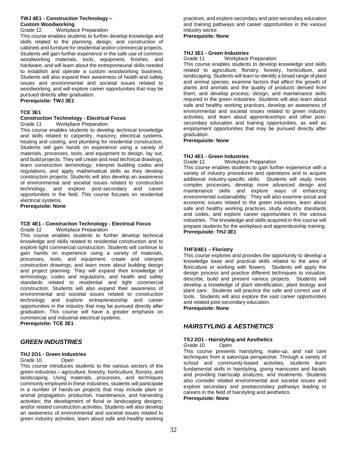#### **TWJ 4E1 - Construction Technology – Custom Woodworking**

Grade 12 Workplace Preparation

This course enables students to further develop knowledge and skills related to the planning, design, and construction of cabinets and furniture for residential and/or commercial projects. Students will gain further experience in the safe use of common woodworking materials, tools, equipment, finishes, and hardware, and will learn about the entrepreneurial skills needed to establish and operate a custom woodworking business. Students will also expand their awareness of health and safety issues and environmental and societal issues related to woodworking, and will explore career opportunities that may be pursued directly after graduation.

**Prerequisite: TWJ 3E1**

## **TCE 3E1**

#### **Construction Technology - Electrical Focus**

Grade 11 Workplace Preparation

This course enables students to develop technical knowledge and skills related to carpentry, masonry, electrical systems, heating and cooling, and plumbing for residential construction. Students will gain hands on experience using a variety of materials, processes, tools, and equipment to design, lay out, and build projects. They will create and read technical drawings, learn construction terminology, interpret building codes and regulations, and apply mathematical skills as they develop construction projects. Students will also develop an awareness of environmental and societal issues related to construction technology, and explore post-secondary and career opportunities in the field. This course focuses on residential electrical systems.

**Prerequisite: None**

#### **TCE 4E1 - Construction Technology - Electrical Focus** Grade 12 Workplace Preparation

This course enables students to further develop technical knowledge and skills related to residential construction and to explore light commercial construction. Students will continue to gain hands on experience using a variety of materials, processes, tools, and equipment; create and interpret construction drawings; and learn more about building design and project planning. They will expand their knowledge of terminology, codes and regulations, and health and safety standards related to residential and light commercial construction. Students will also expand their awareness of environmental and societal issues related to construction technology and explore entrepreneurship and career opportunities in the industry that may be pursued directly after graduation. This course will have a greater emphasis on commercial and industrial electrical systems.

**Prerequisite: TCE 3E1**

# *GREEN INDUSTRIES*

# **THJ 2O1 - Green Industries**

Grade 10 Open

This course introduces students to the various sectors of the green industries – agriculture, forestry, horticulture, floristry, and landscaping. Using materials, processes, and techniques commonly employed in these industries, students will participate in a number of hands-on projects that may include plant or animal propagation; production, maintenance, and harvesting activities; the development of floral or landscaping designs; and/or related construction activities. Students will also develop an awareness of environmental and societal issues related to green industry activities, learn about safe and healthy working practices, and explore secondary and post-secondary education and training pathways and career opportunities in the various industry sector.

#### **Prerequisite: None**

**THJ 3E1 - Green Industries**

Workplace Preparation

This course enables students to develop knowledge and skills related to agriculture, floristry, forestry, horticulture, and landscaping. Students will learn to identify a broad range of plant and animal species; examine factors that affect the growth of plants and animals and the quality of products derived from them; and develop process, design, and maintenance skills required in the green industries. Students will also learn about safe and healthy working practices, develop an awareness of environmental and societal issues related to green industry activities, and learn about apprenticeships and other postsecondary education and training opportunities, as well as employment opportunities that may be pursued directly after graduation.

#### **Prerequisite: None**

# **THJ 4E1 - Green Industries**

Workplace Preparation

This course enables students to gain further experience with a variety of industry procedures and operations and to acquire additional industry-specific skills. Students will study more complex processes, develop more advanced design and maintenance skills and explore ways of enhancing environmental sustainability. They will also examine social and economic issues related to the green industries, learn about safe and healthy working practices, study industry standards and codes, and explore career opportunities in the various industries. The knowledge and skills acquired in this course will prepare students for the workplace and apprenticeship training. **Prerequisite: THJ 3E1**

# **THF3/4E1 – Floristry**

This course explores and provides the opportunity to develop a knowledge base and practical skills related to the area of floriculture or working with flowers. Students will apply the design process and practice different techniques to visualize, describe, build and present various projects. Students will develop a knowledge of plant identification, plant biology and plant care. Students will practice the safe and correct use of tools. Students will also explore the vast career opportunities and related post-secondary education.

**Prerequisite: None**

# *HAIRSTYLING & AESTHETICS*

#### **TXJ 2O1 - Hairstyling and Aesthetics** Grade 10 Open

This course presents hairstyling, make-up, and nail care techniques from a salon/spa perspective. Through a variety of school and community-based activities, students learn fundamental skills in hairstyling, giving manicures and facials and providing hair/scalp analyzes, and treatments. Students also consider related environmental and societal issues and explore secondary and postsecondary pathways leading to careers in the field of hairstyling and aesthetics. **Prerequisite: None**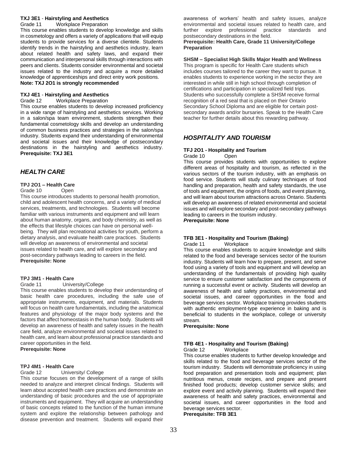#### **TXJ 3E1** - **Hairstyling and Aesthetics** Grade 11 Workplace Preparation

This course enables students to develop knowledge and skills in cosmetology and offers a variety of applications that will equip students to provide services for a diverse clientele. Students identify trends in the hairstyling and aesthetics industry, learn about related health and safety laws, and expand their communication and interpersonal skills through interactions with peers and clients. Students consider environmental and societal issues related to the industry and acquire a more detailed knowledge of apprenticeships and direct entry work positions. **Note: TXJ 2O1 is strongly recommended**

# **TXJ 4E1** - **Hairstyling and Aesthetics**

Grade 12 Workplace Preparation

This course enables students to develop increased proficiency in a wide range of hairstyling and aesthetics services. Working in a salon/spa team environment, students strengthen their fundamental cosmetology skills and develop an understanding of common business practices and strategies in the salon/spa industry. Students expand their understanding of environmental and societal issues and their knowledge of postsecondary destinations in the hairstyling and aesthetics industry. **Prerequisite: TXJ 3E1**

# *HEALTH CARE*

# **TPJ 2O1 – Health Care**

# Grade 10 Open

This course introduces students to personal health promotion, child and adolescent health concerns, and a variety of medical services, treatments, and technologies. Students will become familiar with various instruments and equipment and will learn about human anatomy, organs, and body chemistry, as well as the effects that lifestyle choices can have on personal wellbeing. They will plan recreational activities for youth, perform a dietary analysis, and evaluate health care practices. Students will develop an awareness of environmental and societal issues related to health care, and will explore secondary and post-secondary pathways leading to careers in the field. **Prerequisite: None**

# **TPJ 3M1 - Health Care**

#### Grade 11 University/College

This course enables students to develop their understanding of basic health care procedures, including the safe use of appropriate instruments, equipment, and materials. Students will focus on health care fundamentals, including the anatomical features and physiology of the major body systems and the factors that affect homeostasis in the human body. Students will develop an awareness of health and safety issues in the health care field, analyze environmental and societal issues related to health care, and learn about professional practice standards and career opportunities in the field.

**Prerequisite: None**

# **TPJ 4M1 - Health Care**

Grade 12 University/ College

This course focuses on the development of a range of skills needed to analyze and interpret clinical findings. Students will learn about accepted health care practices and demonstrate an understanding of basic procedures and the use of appropriate instruments and equipment. They will acquire an understanding of basic concepts related to the function of the human immune system and explore the relationship between pathology and disease prevention and treatment. Students will expand their awareness of workers' health and safety issues, analyze environmental and societal issues related to health care, and further explore professional practice standards and postsecondary destinations in the field.

# **Prerequisite: Health Care, Grade 11 University/College Preparation**

#### **SHSM – Specialist High Skills Major Health and Wellness**

This program is specific for Health Care students which includes courses tailored to the career they want to pursue. It enables students to experience working in the sector they are interested in while still in high school through completion of certifications and participation in specialized field trips. Students who successfully complete a SHSM receive formal recognition of a red seal that is placed on their Ontario Secondary School Diploma and are eligible for certain postsecondary awards and/or bursaries. Speak to the Health Care teacher for further details about this rewarding pathway.

# *HOSPITALITY AND TOURISM*

# **TFJ 2O1 - Hospitality and Tourism**

Grade 10 Open

This course provides students with opportunities to explore different areas of hospitality and tourism, as reflected in the various sectors of the tourism industry, with an emphasis on food service. Students will study culinary techniques of food handling and preparation, health and safety standards, the use of tools and equipment, the origins of foods, and event planning, and will learn about tourism attractions across Ontario. Students will develop an awareness of related environmental and societal issues and will explore secondary and post-secondary pathways leading to careers in the tourism industry.

*Prerequisite***: None**

#### **TFB 3E1 - Hospitality and Tourism (Baking)** Grade 11 Workplace

This course enables students to acquire knowledge and skills related to the food and beverage services sector of the tourism industry. Students will learn how to prepare, present, and serve food using a variety of tools and equipment and will develop an understanding of the fundamentals of providing high quality service to ensure customer satisfaction and the components of running a successful event or activity. Students will develop an awareness of health and safety practices, environmental and societal issues, and career opportunities in the food and beverage services sector. Workplace training provides students with authentic employment-type experience in baking and is beneficial to students in the workplace, college or university stream.

**Prerequisite: None**

# **TFB 4E1 - Hospitality and Tourism (Baking)**

Grade 12 Workplace

This course enables students to further develop knowledge and skills related to the food and beverage services sector of the tourism industry. Students will demonstrate proficiency in using food preparation and presentation tools and equipment; plan nutritious menus, create recipes, and prepare and present finished food products; develop customer service skills; and explore event and activity planning. Students will expand their awareness of health and safety practices, environmental and societal issues, and career opportunities in the food and beverage services sector. **Prerequisite: TFB 3E1**

33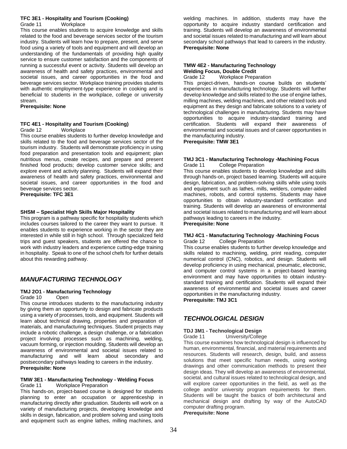#### **TFC 3E1 - Hospitality and Tourism (Cooking)** Grade 11 Workplace

This course enables students to acquire knowledge and skills related to the food and beverage services sector of the tourism industry. Students will learn how to prepare, present, and serve food using a variety of tools and equipment and will develop an understanding of the fundamentals of providing high quality service to ensure customer satisfaction and the components of running a successful event or activity. Students will develop an awareness of health and safety practices, environmental and societal issues, and career opportunities in the food and beverage services sector. Workplace training provides students with authentic employment-type experience in cooking and is beneficial to students in the workplace, college or university stream.

## **Prerequisite: None**

# **TFC 4E1 - Hospitality and Tourism (Cooking)**

# Grade 12 Workplace

This course enables students to further develop knowledge and skills related to the food and beverage services sector of the tourism industry. Students will demonstrate proficiency in using food preparation and presentation tools and equipment; plan nutritious menus, create recipes, and prepare and present finished food products; develop customer service skills; and explore event and activity planning. Students will expand their awareness of health and safety practices, environmental and societal issues, and career opportunities in the food and beverage services sector.

**Prerequisite: TFC 3E1**

# **SHSM – Specialist High Skills Major Hospitality**

This program is a pathway specific for hospitality students which includes courses tailored to the career they want to pursue. It enables students to experience working in the sector they are interested in while still in high school. Through specialized field trips and guest speakers, students are offered the chance to work with industry leaders and experience cutting-edge training in hospitality. Speak to one of the school chefs for further details about this rewarding pathway.

# *MANUFACTURING TECHNOLOGY*

# **TMJ 2O1 - Manufacturing Technology**

#### Grade 10 Open

This course introduces students to the manufacturing industry by giving them an opportunity to design and fabricate products using a variety of processes, tools, and equipment. Students will learn about technical drawing, properties and preparation of materials, and manufacturing techniques. Student projects may include a robotic challenge, a design challenge, or a fabrication project involving processes such as machining, welding, vacuum forming, or injection moulding. Students will develop an awareness of environmental and societal issues related to manufacturing and will learn about secondary and postsecondary pathways leading to careers in the industry. **Prerequisite: None**

# **TMW 3E1 - Manufacturing Technology - Welding Focus**

#### Grade 11 Workplace Preparation

This hands-on, project-based course is designed for students planning to enter an occupation or apprenticeship in manufacturing directly after graduation. Students will work on a variety of manufacturing projects, developing knowledge and skills in design, fabrication, and problem solving and using tools and equipment such as engine lathes, milling machines, and

welding machines. In addition, students may have the opportunity to acquire industry standard certification and training. Students will develop an awareness of environmental and societal issues related to manufacturing and will learn about secondary school pathways that lead to careers in the industry. **Prerequisite: None**

# **TMW 4E2 - Manufacturing Technology Welding Focus, Double Credit**

Grade 12 Workplace Preparation

This project-driven, hands-on course builds on students' experiences in manufacturing technology. Students will further develop knowledge and skills related to the use of engine lathes, milling machines, welding machines, and other related tools and equipment as they design and fabricate solutions to a variety of technological challenges in manufacturing. Students may have opportunities to acquire industry-standard training and certification. Students will expand their awareness of environmental and societal issues and of career opportunities in the manufacturing industry.

**Prerequisite: TMW 3E1**

#### **TMJ 3C1 - Manufacturing Technology -Machining Focus** Grade 11 College Preparation

This course enables students to develop knowledge and skills through hands-on, project based learning. Students will acquire design, fabrication, and problem-solving skills while using tools and equipment such as lathes, mills, welders, computer-aided machines, robots, and control systems. Students may have opportunities to obtain industry-standard certification and training. Students will develop an awareness of environmental and societal issues related to manufacturing and will learn about pathways leading to careers in the industry. **Prerequisite: None**

#### **TMJ 4C1 - Manufacturing Technology -Machining Focus** Grade 12 College Preparation

This course enables students to further develop knowledge and skills related to machining, welding, print reading, computer numerical control (CNC), robotics, and design. Students will develop proficiency in using mechanical, pneumatic, electronic, and computer control systems in a project-based learning environment and may have opportunities to obtain industrystandard training and certification. Students will expand their awareness of environmental and societal issues and career opportunities in the manufacturing industry.

**Prerequisite: TMJ 3C1**

# *TECHNOLOGICAL DESIGN*

# **TDJ 3M1 - Technological Design**

Grade 11 University/College

This course examines how technological design is influenced by human, environmental, financial, and material requirements and resources. Students will research, design, build, and assess solutions that meet specific human needs, using working drawings and other communication methods to present their design ideas. They will develop an awareness of environmental, societal, and cultural issues related to technological design, and will explore career opportunities in the field, as well as the college and/or university program requirements for them. Students will be taught the basics of both architectural and mechanical design and drafting by way of the AutoCAD computer drafting program. *Prerequisite***: None**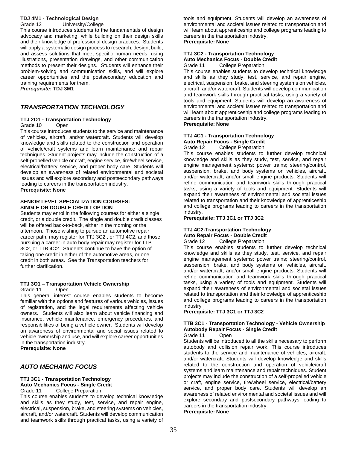# **TDJ 4M1 - Technological Design**

Grade 12 University/College This course introduces students to the fundamentals of design advocacy and marketing, while building on their design skills and their knowledge of professional design practices. Students will apply a systematic design process to research, design, build, and assess solutions that meet specific human needs, using illustrations, presentation drawings, and other communication methods to present their designs. Students will enhance their problem-solving and communication skills, and will explore career opportunities and the postsecondary education and training requirements for them.

*Prerequisite***: TDJ 3M1**

# *TRANSPORTATION TECHNOLOGY*

# **TTJ 2O1 - Transportation Technology**

Grade 10 Open

This course introduces students to the service and maintenance of vehicles, aircraft, and/or watercraft. Students will develop knowledge and skills related to the construction and operation of vehicle/craft systems and learn maintenance and repair techniques. Student projects may include the construction of a self-propelled vehicle or craft, engine service, tire/wheel service, electrical/battery service, and proper body care. Students will develop an awareness of related environmental and societal issues and will explore secondary and postsecondary pathways leading to careers in the transportation industry.

# **Prerequisite: None**

# **SENIOR LEVEL SPECIALIZATION COURSES: SINGLE OR DOUBLE CREDIT OPTION**

Students may enrol in the following courses for either a single credit, or a double credit. The single and double credit classes will be offered back-to-back, either in the morning or the afternoon. Those wishing to pursue an automotive repair career path, may register for TTJ 3C2 , or TTJ 4C2, and those pursuing a career in auto body repair may register for TTB 3C2, or TTB 4C2. Students continue to have the option of taking one credit in either of the automotive areas, or one credit in both areas. See the Transportation teachers for further clarification.

# **TTJ 3O1 – Transportation Vehicle Ownership**

Grade 11 Open

This general interest course enables students to become familiar with the options and features of various vehicles, issues of registration, and the legal requirements affecting vehicle owners. Students will also learn about vehicle financing and insurance, vehicle maintenance, emergency procedures, and responsibilities of being a vehicle owner. Students will develop an awareness of environmental and social issues related to vehicle ownership and use, and will explore career opportunities in the transportation industry.

**Prerequisite: None**

# *AUTO MECHANIC FOCUS*

# **TTJ 3C1 - Transportation Technology Auto Mechanics Focus - Single Credit**

#### Grade 11 College Preparation

This course enables students to develop technical knowledge and skills as they study, test, service, and repair engine, electrical, suspension, brake, and steering systems on vehicles, aircraft, and/or watercraft. Students will develop communication and teamwork skills through practical tasks, using a variety of tools and equipment. Students will develop an awareness of environmental and societal issues related to transportation and will learn about apprenticeship and college programs leading to careers in the transportation industry. **Prerequisite: None**

# **TTJ 3C2 - Transportation Technology Auto Mechanics Focus - Double Credit**

Grade 11 College Preparation

This course enables students to develop technical knowledge and skills as they study, test, service, and repair engine, electrical, suspension, brake, and steering systems on vehicles, aircraft, and/or watercraft. Students will develop communication and teamwork skills through practical tasks, using a variety of tools and equipment. Students will develop an awareness of environmental and societal issues related to transportation and will learn about apprenticeship and college programs leading to careers in the transportation industry.

# **Prerequisite: None**

#### **TTJ 4C1 - Transportation Technology Auto Repair Focus - Single Credit** Grade 12 College Preparation

This course enables students to further develop technical knowledge and skills as they study, test, service, and repair engine management systems; power trains; steering/control, suspension, brake, and body systems on vehicles, aircraft, and/or watercraft; and/or small engine products. Students will refine communication and teamwork skills through practical tasks, using a variety of tools and equipment. Students will expand their awareness of environmental and societal issues related to transportation and their knowledge of apprenticeship and college programs leading to careers in the transportation industry.

# **Prerequisite: TTJ 3C1 or TTJ 3C2**

# **TTJ 4C2-Transportation Technology Auto Repair Focus - Double Credit**

# Grade 12 College Preparation

This course enables students to further develop technical knowledge and skills as they study, test, service, and repair engine management systems; power trains; steering/control, suspension, brake, and body systems on vehicles, aircraft, and/or watercraft; and/or small engine products. Students will refine communication and teamwork skills through practical tasks, using a variety of tools and equipment. Students will expand their awareness of environmental and societal issues related to transportation and their knowledge of apprenticeship and college programs leading to careers in the transportation industry

# **Prerequisite: TTJ 3C1 or TTJ 3C2**

# **TTB 3C1 - Transportation Technology - Vehicle Ownership Autobody Repair Focus - Single Credit**

Grade 11 Open

Students will be introduced to all the skills necessary to perform autobody and collision repair work. This course introduces students to the service and maintenance of vehicles, aircraft, and/or watercraft. Students will develop knowledge and skills related to the construction and operation of vehicle/craft systems and learn maintenance and repair techniques. Student projects may include the construction of a self-propelled vehicle or craft, engine service, tire/wheel service, electrical/battery service, and proper body care. Students will develop an awareness of related environmental and societal issues and will explore secondary and postsecondary pathways leading to careers in the transportation industry. **Prerequisite: None**